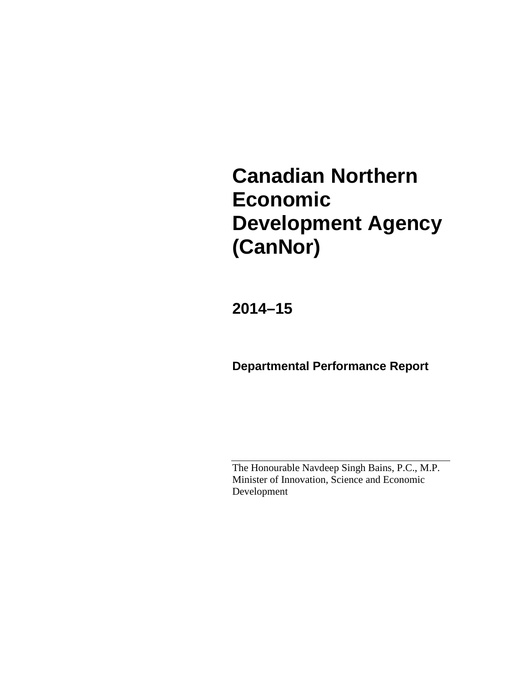# **Canadian Northern Economic Development Agency (CanNor)**

**2014–15**

**Departmental Performance Report**

The Honourable Navdeep Singh Bains, P.C., M.P. Minister of Innovation, Science and Economic Development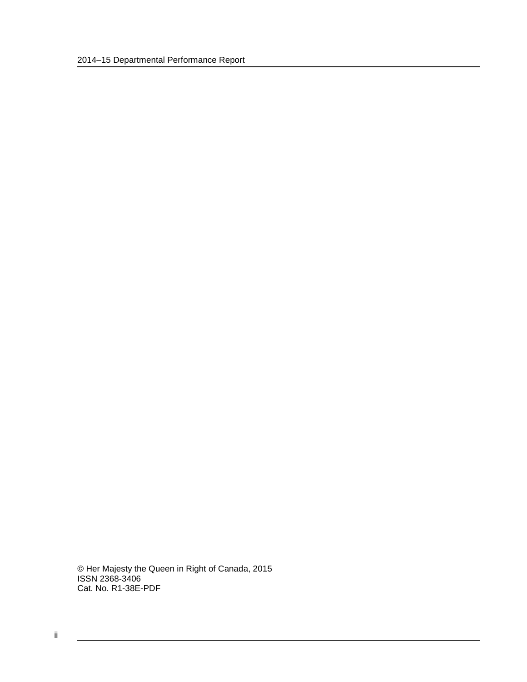© Her Majesty the Queen in Right of Canada, 2015 ISSN 2368-3406 Cat. No. R1-38E-PDF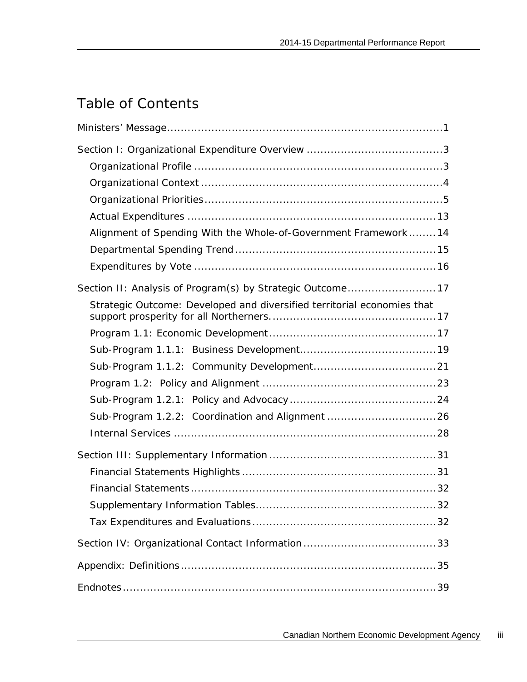## Table of Contents

| Alignment of Spending With the Whole-of-Government Framework 14         |
|-------------------------------------------------------------------------|
|                                                                         |
|                                                                         |
|                                                                         |
| Strategic Outcome: Developed and diversified territorial economies that |
|                                                                         |
|                                                                         |
|                                                                         |
|                                                                         |
|                                                                         |
| Sub-Program 1.2.2: Coordination and Alignment 26                        |
|                                                                         |
|                                                                         |
|                                                                         |
|                                                                         |
|                                                                         |
|                                                                         |
|                                                                         |
|                                                                         |
|                                                                         |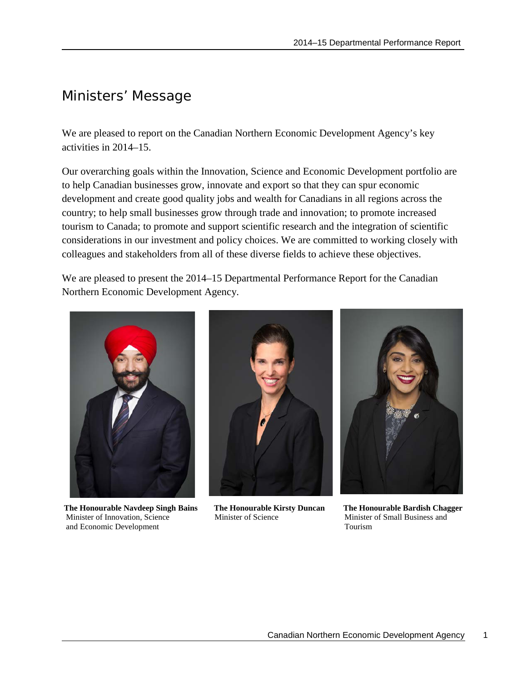## <span id="page-4-0"></span>Ministers' Message

We are pleased to report on the Canadian Northern Economic Development Agency's key activities in 2014–15.

Our overarching goals within the Innovation, Science and Economic Development portfolio are to help Canadian businesses grow, innovate and export so that they can spur economic development and create good quality jobs and wealth for Canadians in all regions across the country; to help small businesses grow through trade and innovation; to promote increased tourism to Canada; to promote and support scientific research and the integration of scientific considerations in our investment and policy choices. We are committed to working closely with colleagues and stakeholders from all of these diverse fields to achieve these objectives.

We are pleased to present the 2014–15 Departmental Performance Report for the Canadian Northern Economic Development Agency.



**The Honourable Navdeep Singh Bains The Honourable Kirsty Duncan The Honourable Bardish Chagger Minister of Innovation, Science Minister of Science Minister of Small Business and** Minister of Innovation, Science Minister of Science Minister of Science Minister of Science Minister of Science Minister of Science Minister of Science Minister of Science Minister of Science Minister of Science Minister o and Economic Development



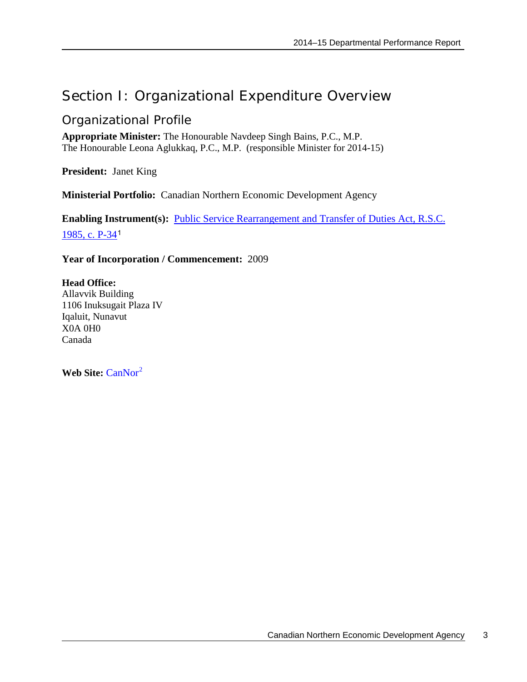## <span id="page-6-0"></span>Section I: Organizational Expenditure Overview

## <span id="page-6-1"></span>Organizational Profile

**Appropriate Minister:** The Honourable Navdeep Singh Bains, P.C., M.P. The Honourable Leona Aglukkaq, P.C., M.P. (responsible Minister for 2014-15)

**President:** Janet King

**Ministerial Portfolio:** Canadian Northern Economic Development Agency

**Enabling Instrument(s):** [Public Service Rearrangement and Transfer of Duties Act, R.S.C.](http://laws-lois.justice.gc.ca/eng/acts/P-34/index.html)  [1985, c. P-34](http://laws-lois.justice.gc.ca/eng/acts/P-34/index.html)[1](#page-42-1)

### **Year of Incorporation / Commencement:** 2009

### **Head Office:**

Allavvik Building 1106 Inuksugait Plaza IV Iqaluit, Nunavut X0A 0H0 Canada

Web Site: [CanNor](http://www.cannor.gc.ca/)<sup>[2](#page-42-2)</sup>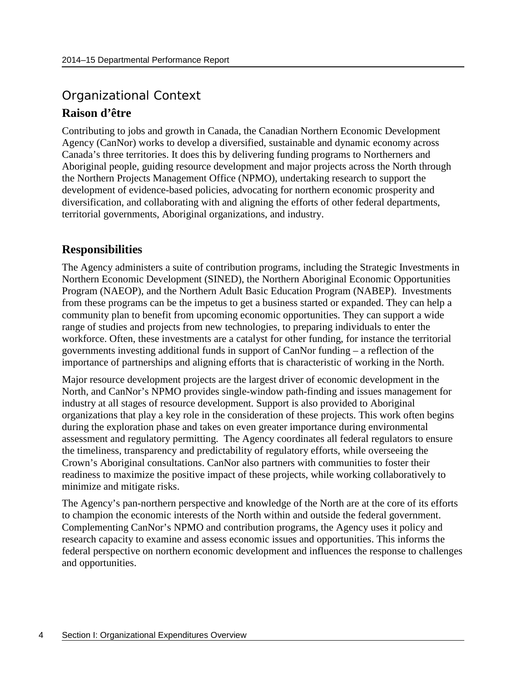## <span id="page-7-0"></span>Organizational Context **Raison d'être**

Contributing to jobs and growth in Canada, the Canadian Northern Economic Development Agency (CanNor) works to develop a diversified, sustainable and dynamic economy across Canada's three territories. It does this by delivering funding programs to Northerners and Aboriginal people, guiding resource development and major projects across the North through the Northern Projects Management Office (NPMO), undertaking research to support the development of evidence-based policies, advocating for northern economic prosperity and diversification, and collaborating with and aligning the efforts of other federal departments, territorial governments, Aboriginal organizations, and industry.

## **Responsibilities**

The Agency administers a suite of contribution programs, including the Strategic Investments in Northern Economic Development (SINED), the Northern Aboriginal Economic Opportunities Program (NAEOP), and the Northern Adult Basic Education Program (NABEP). Investments from these programs can be the impetus to get a business started or expanded. They can help a community plan to benefit from upcoming economic opportunities. They can support a wide range of studies and projects from new technologies, to preparing individuals to enter the workforce. Often, these investments are a catalyst for other funding, for instance the territorial governments investing additional funds in support of CanNor funding – a reflection of the importance of partnerships and aligning efforts that is characteristic of working in the North.

Major resource development projects are the largest driver of economic development in the North, and CanNor's NPMO provides single-window path-finding and issues management for industry at all stages of resource development. Support is also provided to Aboriginal organizations that play a key role in the consideration of these projects. This work often begins during the exploration phase and takes on even greater importance during environmental assessment and regulatory permitting. The Agency coordinates all federal regulators to ensure the timeliness, transparency and predictability of regulatory efforts, while overseeing the Crown's Aboriginal consultations. CanNor also partners with communities to foster their readiness to maximize the positive impact of these projects, while working collaboratively to minimize and mitigate risks.

The Agency's pan-northern perspective and knowledge of the North are at the core of its efforts to champion the economic interests of the North within and outside the federal government. Complementing CanNor's NPMO and contribution programs, the Agency uses it policy and research capacity to examine and assess economic issues and opportunities. This informs the federal perspective on northern economic development and influences the response to challenges and opportunities.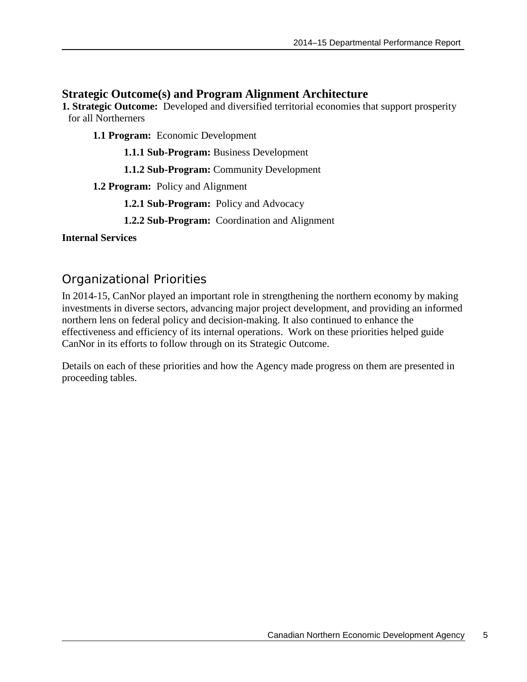## **Strategic Outcome(s) and Program Alignment Architecture**

**1. Strategic Outcome:** Developed and diversified territorial economies that support prosperity for all Northerners

**1.1 Program:** Economic Development

**1.1.1 Sub-Program:** Business Development

**1.1.2 Sub-Program:** Community Development

**1.2 Program:** Policy and Alignment

**1.2.1 Sub-Program:** Policy and Advocacy

**1.2.2 Sub-Program:** Coordination and Alignment

### **Internal Services**

## <span id="page-8-0"></span>Organizational Priorities

In 2014-15, CanNor played an important role in strengthening the northern economy by making investments in diverse sectors, advancing major project development, and providing an informed northern lens on federal policy and decision-making. It also continued to enhance the effectiveness and efficiency of its internal operations. Work on these priorities helped guide CanNor in its efforts to follow through on its Strategic Outcome.

Details on each of these priorities and how the Agency made progress on them are presented in proceeding tables.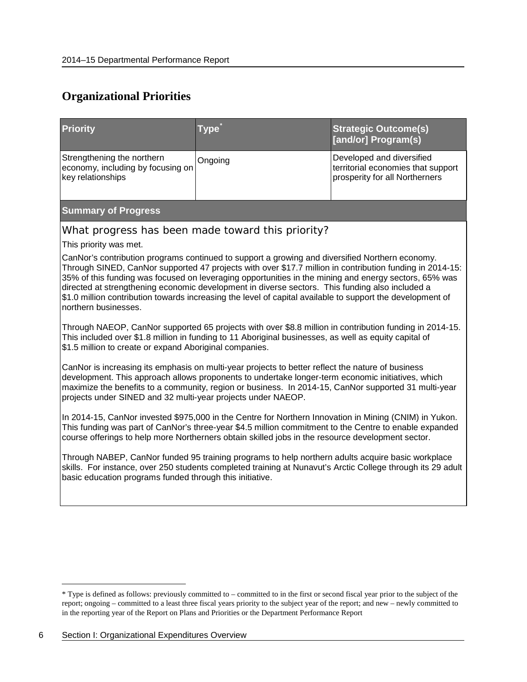## **Organizational Priorities**

| <b>Priority</b>                                                                                                                                                                                                                       | Type                                                                                                                                                                                                                                                                                                                                                                                                                                                                                                                                                                                                                                                                                                                                                                                                                                                                                                                                                                                                                                                                                                                                                                                                                                                                                                                                                                                                                                                                                                                                                                                                                                                                          | <b>Strategic Outcome(s)</b><br>[and/or] Program(s)                                                |
|---------------------------------------------------------------------------------------------------------------------------------------------------------------------------------------------------------------------------------------|-------------------------------------------------------------------------------------------------------------------------------------------------------------------------------------------------------------------------------------------------------------------------------------------------------------------------------------------------------------------------------------------------------------------------------------------------------------------------------------------------------------------------------------------------------------------------------------------------------------------------------------------------------------------------------------------------------------------------------------------------------------------------------------------------------------------------------------------------------------------------------------------------------------------------------------------------------------------------------------------------------------------------------------------------------------------------------------------------------------------------------------------------------------------------------------------------------------------------------------------------------------------------------------------------------------------------------------------------------------------------------------------------------------------------------------------------------------------------------------------------------------------------------------------------------------------------------------------------------------------------------------------------------------------------------|---------------------------------------------------------------------------------------------------|
| Strengthening the northern<br>economy, including by focusing on<br>key relationships                                                                                                                                                  | Ongoing                                                                                                                                                                                                                                                                                                                                                                                                                                                                                                                                                                                                                                                                                                                                                                                                                                                                                                                                                                                                                                                                                                                                                                                                                                                                                                                                                                                                                                                                                                                                                                                                                                                                       | Developed and diversified<br>territorial economies that support<br>prosperity for all Northerners |
| <b>Summary of Progress</b>                                                                                                                                                                                                            |                                                                                                                                                                                                                                                                                                                                                                                                                                                                                                                                                                                                                                                                                                                                                                                                                                                                                                                                                                                                                                                                                                                                                                                                                                                                                                                                                                                                                                                                                                                                                                                                                                                                               |                                                                                                   |
| This priority was met.<br>northern businesses.<br>\$1.5 million to create or expand Aboriginal companies.<br>projects under SINED and 32 multi-year projects under NAEOP.<br>basic education programs funded through this initiative. | What progress has been made toward this priority?<br>CanNor's contribution programs continued to support a growing and diversified Northern economy.<br>Through SINED, CanNor supported 47 projects with over \$17.7 million in contribution funding in 2014-15:<br>35% of this funding was focused on leveraging opportunities in the mining and energy sectors, 65% was<br>directed at strengthening economic development in diverse sectors. This funding also included a<br>\$1.0 million contribution towards increasing the level of capital available to support the development of<br>Through NAEOP, CanNor supported 65 projects with over \$8.8 million in contribution funding in 2014-15.<br>This included over \$1.8 million in funding to 11 Aboriginal businesses, as well as equity capital of<br>CanNor is increasing its emphasis on multi-year projects to better reflect the nature of business<br>development. This approach allows proponents to undertake longer-term economic initiatives, which<br>maximize the benefits to a community, region or business. In 2014-15, CanNor supported 31 multi-year<br>In 2014-15, CanNor invested \$975,000 in the Centre for Northern Innovation in Mining (CNIM) in Yukon.<br>This funding was part of CanNor's three-year \$4.5 million commitment to the Centre to enable expanded<br>course offerings to help more Northerners obtain skilled jobs in the resource development sector.<br>Through NABEP, CanNor funded 95 training programs to help northern adults acquire basic workplace<br>skills. For instance, over 250 students completed training at Nunavut's Arctic College through its 29 adult |                                                                                                   |
|                                                                                                                                                                                                                                       |                                                                                                                                                                                                                                                                                                                                                                                                                                                                                                                                                                                                                                                                                                                                                                                                                                                                                                                                                                                                                                                                                                                                                                                                                                                                                                                                                                                                                                                                                                                                                                                                                                                                               |                                                                                                   |

<span id="page-9-0"></span> <sup>\*</sup> Type is defined as follows: previously committed to – committed to in the first or second fiscal year prior to the subject of the report; ongoing – committed to a least three fiscal years priority to the subject year of the report; and new – newly committed to in the reporting year of the Report on Plans and Priorities or the Department Performance Report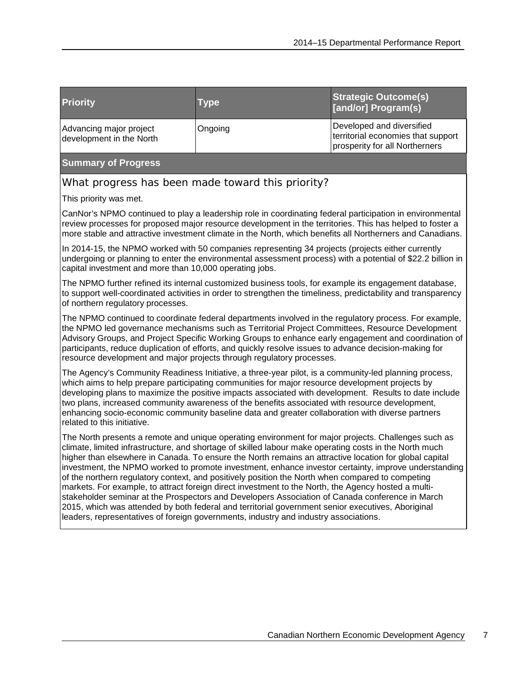| <b>Priority</b>                                     | <b>Type</b> | <b>Strategic Outcome(s)</b><br>[and/or] Program(s)                                                |
|-----------------------------------------------------|-------------|---------------------------------------------------------------------------------------------------|
| Advancing major project<br>development in the North | Ongoing     | Developed and diversified<br>territorial economies that support<br>prosperity for all Northerners |

#### **Summary of Progress**

What progress has been made toward this priority?

This priority was met.

CanNor's NPMO continued to play a leadership role in coordinating federal participation in environmental review processes for proposed major resource development in the territories. This has helped to foster a more stable and attractive investment climate in the North, which benefits all Northerners and Canadians.

In 2014-15, the NPMO worked with 50 companies representing 34 projects (projects either currently undergoing or planning to enter the environmental assessment process) with a potential of \$22.2 billion in capital investment and more than 10,000 operating jobs.

The NPMO further refined its internal customized business tools, for example its engagement database, to support well-coordinated activities in order to strengthen the timeliness, predictability and transparency of northern regulatory processes.

The NPMO continued to coordinate federal departments involved in the regulatory process. For example, the NPMO led governance mechanisms such as Territorial Project Committees, Resource Development Advisory Groups, and Project Specific Working Groups to enhance early engagement and coordination of participants, reduce duplication of efforts, and quickly resolve issues to advance decision-making for resource development and major projects through regulatory processes.

The Agency's Community Readiness Initiative, a three-year pilot, is a community-led planning process, which aims to help prepare participating communities for major resource development projects by developing plans to maximize the positive impacts associated with development. Results to date include two plans, increased community awareness of the benefits associated with resource development, enhancing socio-economic community baseline data and greater collaboration with diverse partners related to this initiative.

The North presents a remote and unique operating environment for major projects. Challenges such as climate, limited infrastructure, and shortage of skilled labour make operating costs in the North much higher than elsewhere in Canada. To ensure the North remains an attractive location for global capital investment, the NPMO worked to promote investment, enhance investor certainty, improve understanding of the northern regulatory context, and positively position the North when compared to competing markets. For example, to attract foreign direct investment to the North, the Agency hosted a multistakeholder seminar at the Prospectors and Developers Association of Canada conference in March 2015, which was attended by both federal and territorial government senior executives, Aboriginal leaders, representatives of foreign governments, industry and industry associations.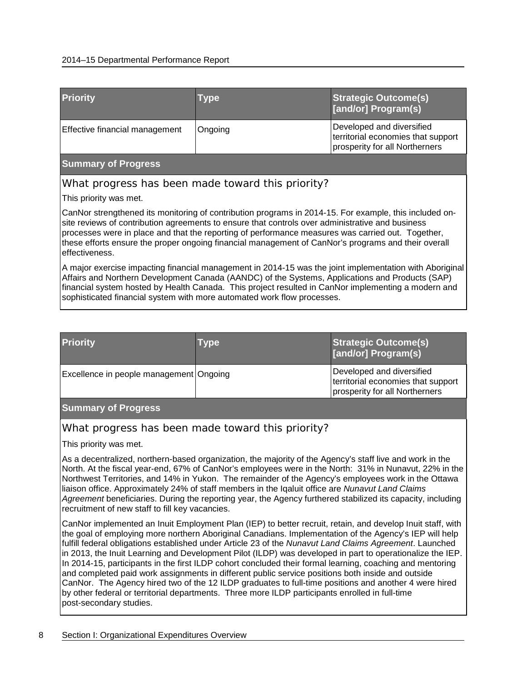#### 2014–15 Departmental Performance Report

| <b>Priority</b>                                   | <b>Type</b> | <b>Strategic Outcome(s)</b><br><b>[and/or] Program(s)</b>                                         |
|---------------------------------------------------|-------------|---------------------------------------------------------------------------------------------------|
| Effective financial management                    | Ongoing     | Developed and diversified<br>territorial economies that support<br>prosperity for all Northerners |
| <b>Summary of Progress</b>                        |             |                                                                                                   |
| What progress has been made toward this priority? |             |                                                                                                   |

This priority was met.

CanNor strengthened its monitoring of contribution programs in 2014-15. For example, this included onsite reviews of contribution agreements to ensure that controls over administrative and business processes were in place and that the reporting of performance measures was carried out. Together, these efforts ensure the proper ongoing financial management of CanNor's programs and their overall effectiveness.

A major exercise impacting financial management in 2014-15 was the joint implementation with Aboriginal Affairs and Northern Development Canada (AANDC) of the Systems, Applications and Products (SAP) financial system hosted by Health Canada. This project resulted in CanNor implementing a modern and sophisticated financial system with more automated work flow processes.

| <b>Priority</b>                         | Type | <b>Strategic Outcome(s)</b><br>[and/or] Program(s)                                                |
|-----------------------------------------|------|---------------------------------------------------------------------------------------------------|
| Excellence in people management Ongoing |      | Developed and diversified<br>territorial economies that support<br>prosperity for all Northerners |

#### **Summary of Progress**

#### What progress has been made toward this priority?

This priority was met.

As a decentralized, northern-based organization, the majority of the Agency's staff live and work in the North. At the fiscal year-end, 67% of CanNor's employees were in the North: 31% in Nunavut, 22% in the Northwest Territories, and 14% in Yukon. The remainder of the Agency's employees work in the Ottawa liaison office. Approximately 24% of staff members in the Iqaluit office are *Nunavut Land Claims Agreement* beneficiaries. During the reporting year, the Agency furthered stabilized its capacity, including recruitment of new staff to fill key vacancies.

CanNor implemented an Inuit Employment Plan (IEP) to better recruit, retain, and develop Inuit staff, with the goal of employing more northern Aboriginal Canadians. Implementation of the Agency's IEP will help fulfill federal obligations established under Article 23 of the *Nunavut Land Claims Agreement*. Launched in 2013, the Inuit Learning and Development Pilot (ILDP) was developed in part to operationalize the IEP. In 2014-15, participants in the first ILDP cohort concluded their formal learning, coaching and mentoring and completed paid work assignments in different public service positions both inside and outside CanNor. The Agency hired two of the 12 ILDP graduates to full-time positions and another 4 were hired by other federal or territorial departments. Three more ILDP participants enrolled in full-time post-secondary studies.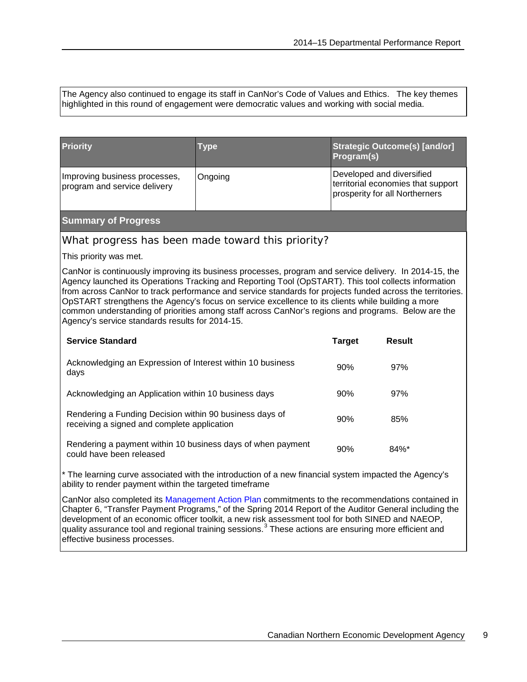The Agency also continued to engage its staff in CanNor's Code of Values and Ethics. The key themes highlighted in this round of engagement were democratic values and working with social media.

| <b>Priority</b>                                                                                                                                                                                                                                                                                                                                                                                                                                                                                                                                                                           | Type                                              | Program(s)                | <b>Strategic Outcome(s) [and/or]</b>                                 |  |
|-------------------------------------------------------------------------------------------------------------------------------------------------------------------------------------------------------------------------------------------------------------------------------------------------------------------------------------------------------------------------------------------------------------------------------------------------------------------------------------------------------------------------------------------------------------------------------------------|---------------------------------------------------|---------------------------|----------------------------------------------------------------------|--|
| Improving business processes,<br>program and service delivery                                                                                                                                                                                                                                                                                                                                                                                                                                                                                                                             | Ongoing                                           | Developed and diversified | territorial economies that support<br>prosperity for all Northerners |  |
| <b>Summary of Progress</b>                                                                                                                                                                                                                                                                                                                                                                                                                                                                                                                                                                |                                                   |                           |                                                                      |  |
|                                                                                                                                                                                                                                                                                                                                                                                                                                                                                                                                                                                           | What progress has been made toward this priority? |                           |                                                                      |  |
| This priority was met.                                                                                                                                                                                                                                                                                                                                                                                                                                                                                                                                                                    |                                                   |                           |                                                                      |  |
| CanNor is continuously improving its business processes, program and service delivery. In 2014-15, the<br>Agency launched its Operations Tracking and Reporting Tool (OpSTART). This tool collects information<br>from across CanNor to track performance and service standards for projects funded across the territories.<br>OpSTART strengthens the Agency's focus on service excellence to its clients while building a more<br>common understanding of priorities among staff across CanNor's regions and programs. Below are the<br>Agency's service standards results for 2014-15. |                                                   |                           |                                                                      |  |
| <b>Service Standard</b>                                                                                                                                                                                                                                                                                                                                                                                                                                                                                                                                                                   |                                                   | <b>Target</b>             | <b>Result</b>                                                        |  |
| Acknowledging an Expression of Interest within 10 business<br>days                                                                                                                                                                                                                                                                                                                                                                                                                                                                                                                        | 90%                                               | 97%                       |                                                                      |  |
| Acknowledging an Application within 10 business days                                                                                                                                                                                                                                                                                                                                                                                                                                                                                                                                      |                                                   | 90%                       | 97%                                                                  |  |
| Rendering a Funding Decision within 90 business days of<br>receiving a signed and complete application                                                                                                                                                                                                                                                                                                                                                                                                                                                                                    | 90%                                               | 85%                       |                                                                      |  |

Rendering a payment within 10 business days of when payment Rendering a payment within TO business days of when payment  $90\%$  84%\*<br>could have been released

\* The learning curve associated with the introduction of a new financial system impacted the Agency's ability to render payment within the targeted timeframe

CanNor also completed its [Management Action Plan](http://www.cannor.gc.ca/eng/1433177108189/1433181118135) commitments to the recommendations contained in Chapter 6, "Transfer Payment Programs," of the Spring 2014 Report of the Auditor General including the development of an economic officer toolkit, a new risk assessment tool for both SINED and NAEOP, quality assurance tool and regional training sessions.<sup>[3](#page-42-3)</sup> These actions are ensuring more efficient and effective business processes.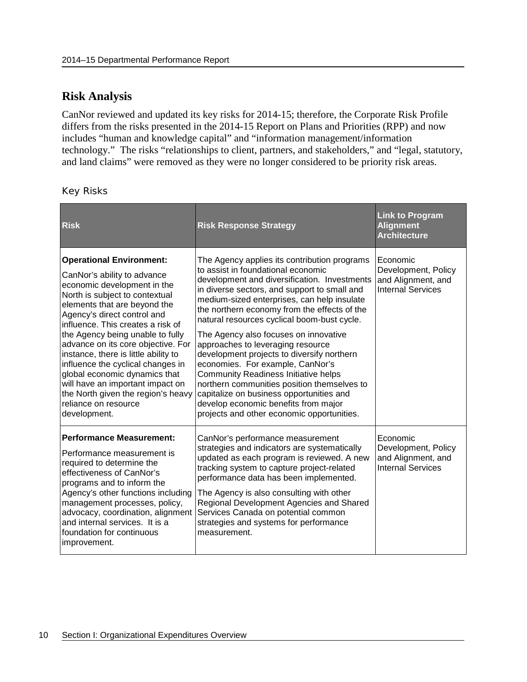## **Risk Analysis**

CanNor reviewed and updated its key risks for 2014-15; therefore, the Corporate Risk Profile differs from the risks presented in the 2014-15 Report on Plans and Priorities (RPP) and now includes "human and knowledge capital" and "information management/information technology." The risks "relationships to client, partners, and stakeholders," and "legal, statutory, and land claims" were removed as they were no longer considered to be priority risk areas.

#### Key Risks

| <b>Risk</b>                                                                                                                                                                                                                                                                                                                                                                                                                                                                                                                                   | <b>Risk Response Strategy</b>                                                                                                                                                                                                                                                                                                                                                                                                                                                                                                                                                                                                                                                                                                    | <b>Link to Program</b><br><b>Alignment</b><br><b>Architecture</b>                 |
|-----------------------------------------------------------------------------------------------------------------------------------------------------------------------------------------------------------------------------------------------------------------------------------------------------------------------------------------------------------------------------------------------------------------------------------------------------------------------------------------------------------------------------------------------|----------------------------------------------------------------------------------------------------------------------------------------------------------------------------------------------------------------------------------------------------------------------------------------------------------------------------------------------------------------------------------------------------------------------------------------------------------------------------------------------------------------------------------------------------------------------------------------------------------------------------------------------------------------------------------------------------------------------------------|-----------------------------------------------------------------------------------|
| <b>Operational Environment:</b><br>CanNor's ability to advance<br>economic development in the<br>North is subject to contextual<br>elements that are beyond the<br>Agency's direct control and<br>influence. This creates a risk of<br>the Agency being unable to fully<br>advance on its core objective. For<br>instance, there is little ability to<br>influence the cyclical changes in<br>global economic dynamics that<br>will have an important impact on<br>the North given the region's heavy<br>reliance on resource<br>development. | The Agency applies its contribution programs<br>to assist in foundational economic<br>development and diversification. Investments<br>in diverse sectors, and support to small and<br>medium-sized enterprises, can help insulate<br>the northern economy from the effects of the<br>natural resources cyclical boom-bust cycle.<br>The Agency also focuses on innovative<br>approaches to leveraging resource<br>development projects to diversify northern<br>economies. For example, CanNor's<br><b>Community Readiness Initiative helps</b><br>northern communities position themselves to<br>capitalize on business opportunities and<br>develop economic benefits from major<br>projects and other economic opportunities. | Economic<br>Development, Policy<br>and Alignment, and<br><b>Internal Services</b> |
| <b>Performance Measurement:</b><br>Performance measurement is<br>required to determine the<br>effectiveness of CanNor's<br>programs and to inform the<br>Agency's other functions including<br>management processes, policy,<br>advocacy, coordination, alignment<br>and internal services. It is a<br>foundation for continuous<br>improvement.                                                                                                                                                                                              | CanNor's performance measurement<br>strategies and indicators are systematically<br>updated as each program is reviewed. A new<br>tracking system to capture project-related<br>performance data has been implemented.<br>The Agency is also consulting with other<br>Regional Development Agencies and Shared<br>Services Canada on potential common<br>strategies and systems for performance<br>measurement.                                                                                                                                                                                                                                                                                                                  | Economic<br>Development, Policy<br>and Alignment, and<br><b>Internal Services</b> |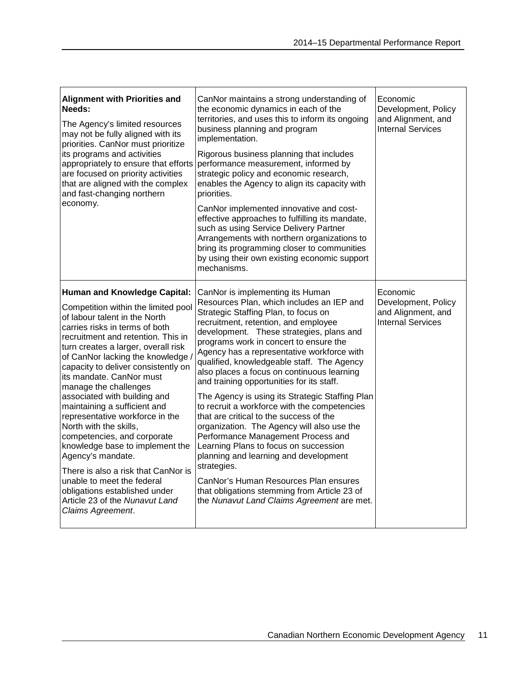| <b>Alignment with Priorities and</b><br>Needs:<br>The Agency's limited resources<br>may not be fully aligned with its<br>priorities. CanNor must prioritize<br>its programs and activities<br>appropriately to ensure that efforts<br>are focused on priority activities<br>that are aligned with the complex<br>and fast-changing northern<br>economy.                                                                                                                                                                                                                                                                                                                                                                                    | CanNor maintains a strong understanding of<br>the economic dynamics in each of the<br>territories, and uses this to inform its ongoing<br>business planning and program<br>implementation.<br>Rigorous business planning that includes<br>performance measurement, informed by<br>strategic policy and economic research,<br>enables the Agency to align its capacity with<br>priorities.<br>CanNor implemented innovative and cost-<br>effective approaches to fulfilling its mandate,<br>such as using Service Delivery Partner<br>Arrangements with northern organizations to<br>bring its programming closer to communities<br>by using their own existing economic support<br>mechanisms.                                                                                                                                                                                                                       | Economic<br>Development, Policy<br>and Alignment, and<br><b>Internal Services</b> |
|--------------------------------------------------------------------------------------------------------------------------------------------------------------------------------------------------------------------------------------------------------------------------------------------------------------------------------------------------------------------------------------------------------------------------------------------------------------------------------------------------------------------------------------------------------------------------------------------------------------------------------------------------------------------------------------------------------------------------------------------|----------------------------------------------------------------------------------------------------------------------------------------------------------------------------------------------------------------------------------------------------------------------------------------------------------------------------------------------------------------------------------------------------------------------------------------------------------------------------------------------------------------------------------------------------------------------------------------------------------------------------------------------------------------------------------------------------------------------------------------------------------------------------------------------------------------------------------------------------------------------------------------------------------------------|-----------------------------------------------------------------------------------|
| <b>Human and Knowledge Capital:</b><br>Competition within the limited pool<br>of labour talent in the North<br>carries risks in terms of both<br>recruitment and retention. This in<br>turn creates a larger, overall risk<br>of CanNor lacking the knowledge<br>capacity to deliver consistently on<br>its mandate. CanNor must<br>manage the challenges<br>associated with building and<br>maintaining a sufficient and<br>representative workforce in the<br>North with the skills,<br>competencies, and corporate<br>knowledge base to implement the<br>Agency's mandate.<br>There is also a risk that CanNor is<br>unable to meet the federal<br>obligations established under<br>Article 23 of the Nunavut Land<br>Claims Agreement. | CanNor is implementing its Human<br>Resources Plan, which includes an IEP and<br>Strategic Staffing Plan, to focus on<br>recruitment, retention, and employee<br>development. These strategies, plans and<br>programs work in concert to ensure the<br>Agency has a representative workforce with<br>qualified, knowledgeable staff. The Agency<br>also places a focus on continuous learning<br>and training opportunities for its staff.<br>The Agency is using its Strategic Staffing Plan<br>to recruit a workforce with the competencies<br>that are critical to the success of the<br>organization. The Agency will also use the<br>Performance Management Process and<br>Learning Plans to focus on succession<br>planning and learning and development<br>strategies.<br>CanNor's Human Resources Plan ensures<br>that obligations stemming from Article 23 of<br>the Nunavut Land Claims Agreement are met. | Economic<br>Development, Policy<br>and Alignment, and<br><b>Internal Services</b> |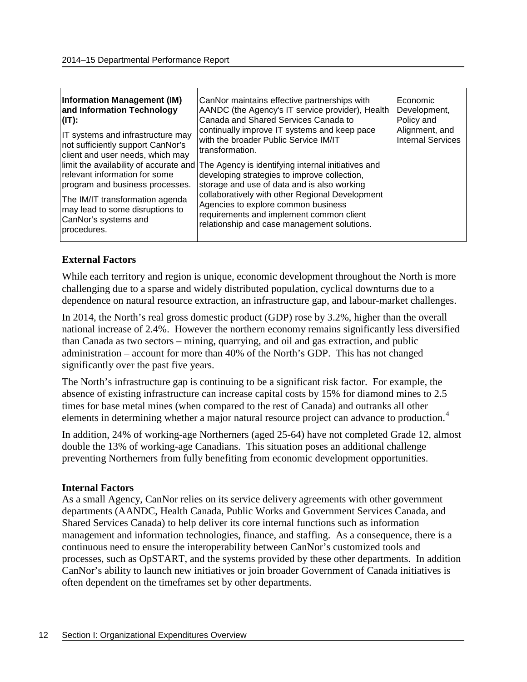| <b>Information Management (IM)</b><br>and Information Technology<br>$I(T)$ :<br>IT systems and infrastructure may<br>not sufficiently support CanNor's<br>client and user needs, which may<br>relevant information for some<br>program and business processes.<br>The IM/IT transformation agenda<br>may lead to some disruptions to<br>CanNor's systems and<br>procedures. | CanNor maintains effective partnerships with<br>AANDC (the Agency's IT service provider), Health<br>Canada and Shared Services Canada to<br>continually improve IT systems and keep pace<br>with the broader Public Service IM/IT<br>transformation.<br>limit the availability of accurate and The Agency is identifying internal initiatives and<br>developing strategies to improve collection,<br>storage and use of data and is also working<br>collaboratively with other Regional Development<br>Agencies to explore common business<br>requirements and implement common client<br>relationship and case management solutions. | Economic<br>Development,<br>Policy and<br>Alignment, and<br><b>Internal Services</b> |
|-----------------------------------------------------------------------------------------------------------------------------------------------------------------------------------------------------------------------------------------------------------------------------------------------------------------------------------------------------------------------------|---------------------------------------------------------------------------------------------------------------------------------------------------------------------------------------------------------------------------------------------------------------------------------------------------------------------------------------------------------------------------------------------------------------------------------------------------------------------------------------------------------------------------------------------------------------------------------------------------------------------------------------|--------------------------------------------------------------------------------------|
|-----------------------------------------------------------------------------------------------------------------------------------------------------------------------------------------------------------------------------------------------------------------------------------------------------------------------------------------------------------------------------|---------------------------------------------------------------------------------------------------------------------------------------------------------------------------------------------------------------------------------------------------------------------------------------------------------------------------------------------------------------------------------------------------------------------------------------------------------------------------------------------------------------------------------------------------------------------------------------------------------------------------------------|--------------------------------------------------------------------------------------|

### **External Factors**

While each territory and region is unique, economic development throughout the North is more challenging due to a sparse and widely distributed population, cyclical downturns due to a dependence on natural resource extraction, an infrastructure gap, and labour-market challenges.

In 2014, the North's real gross domestic product (GDP) rose by 3.2%, higher than the overall national increase of 2.4%. However the northern economy remains significantly less diversified than Canada as two sectors – mining, quarrying, and oil and gas extraction, and public administration – account for more than 40% of the North's GDP. This has not changed significantly over the past five years.

The North's infrastructure gap is continuing to be a significant risk factor. For example, the absence of existing infrastructure can increase capital costs by 15% for diamond mines to 2.5 times for base metal mines (when compared to the rest of Canada) and outranks all other elements in determining whether a major natural resource project can advance to production.<sup>[4](#page-43-0)</sup>

In addition, 24% of working-age Northerners (aged 25-64) have not completed Grade 12, almost double the 13% of working-age Canadians. This situation poses an additional challenge preventing Northerners from fully benefiting from economic development opportunities.

### **Internal Factors**

As a small Agency, CanNor relies on its service delivery agreements with other government departments (AANDC, Health Canada, Public Works and Government Services Canada, and Shared Services Canada) to help deliver its core internal functions such as information management and information technologies, finance, and staffing. As a consequence, there is a continuous need to ensure the interoperability between CanNor's customized tools and processes, such as OpSTART, and the systems provided by these other departments. In addition CanNor's ability to launch new initiatives or join broader Government of Canada initiatives is often dependent on the timeframes set by other departments.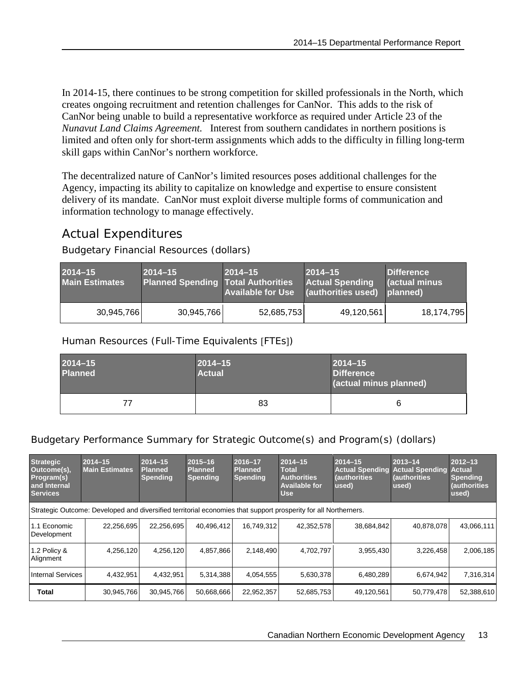In 2014-15, there continues to be strong competition for skilled professionals in the North, which creates ongoing recruitment and retention challenges for CanNor. This adds to the risk of CanNor being unable to build a representative workforce as required under Article 23 of the *Nunavut Land Claims Agreement.* Interest from southern candidates in northern positions is limited and often only for short-term assignments which adds to the difficulty in filling long-term skill gaps within CanNor's northern workforce.

The decentralized nature of CanNor's limited resources poses additional challenges for the Agency, impacting its ability to capitalize on knowledge and expertise to ensure consistent delivery of its mandate. CanNor must exploit diverse multiple forms of communication and information technology to manage effectively.

## <span id="page-16-0"></span>Actual Expenditures

Budgetary Financial Resources (dollars)

| 2014-15<br><b>Main Estimates</b> | $2014 - 15$<br><b>Planned Spending Total Authorities</b> | $2014 - 15$ | $2014 - 15$<br><b>Actual Spending</b><br>Available for Use (authorities used) planned) | <b>Difference</b><br>Cactual minus |
|----------------------------------|----------------------------------------------------------|-------------|----------------------------------------------------------------------------------------|------------------------------------|
| 30,945,766                       | 30,945,766                                               | 52,685,753  | 49,120,561                                                                             | 18,174,795                         |

Human Resources (Full-Time Equivalents [FTEs])

| $2014 - 15$<br><b>Planned</b> | $ 2014 - 15 $<br>$2014 - 15$<br><b>Actual</b><br>Difference<br>(actual minus planned) |   |
|-------------------------------|---------------------------------------------------------------------------------------|---|
| 77                            | 83                                                                                    | 6 |

### Budgetary Performance Summary for Strategic Outcome(s) and Program(s) (dollars)

| <b>Strategic</b><br>Outcome(s),<br>Program(s)<br>and Internal<br><b>Services</b>                                | $2014 - 15$<br><b>Main Estimates</b> | $2014 - 15$<br><b>Planned</b><br><b>Spending</b> | $2015 - 16$<br><b>Planned</b><br><b>Spending</b> | 2016-17<br><b>Planned</b><br><b>Spending</b> | $2014 - 15$<br><b>Total</b><br><b>Authorities</b><br><b>Available for</b><br><b>Use</b> | $2014 - 15$<br><b>Actual Spending</b><br>(authorities<br>used) | $2013 - 14$<br><b>Actual Spending Actual</b><br>(authorities<br>used) | $2012 - 13$<br><b>Spending</b><br>(authorities<br>used) |
|-----------------------------------------------------------------------------------------------------------------|--------------------------------------|--------------------------------------------------|--------------------------------------------------|----------------------------------------------|-----------------------------------------------------------------------------------------|----------------------------------------------------------------|-----------------------------------------------------------------------|---------------------------------------------------------|
| Strategic Outcome: Developed and diversified territorial economies that support prosperity for all Northerners. |                                      |                                                  |                                                  |                                              |                                                                                         |                                                                |                                                                       |                                                         |
| 1.1 Economic<br>Development                                                                                     | 22,256,695                           | 22.256.695                                       | 40.496.412                                       | 16,749,312                                   | 42,352,578                                                                              | 38,684,842                                                     | 40.878.078                                                            | 43,066,111                                              |
| 1.2 Policy &<br>Alignment                                                                                       | 4,256,120                            | 4,256,120                                        | 4,857,866                                        | 2,148,490                                    | 4,702,797                                                                               | 3,955,430                                                      | 3,226,458                                                             | 2,006,185                                               |
| <b>Internal Services</b>                                                                                        | 4,432,951                            | 4,432,951                                        | 5,314,388                                        | 4,054,555                                    | 5,630,378                                                                               | 6,480,289                                                      | 6,674,942                                                             | 7,316,314                                               |
| <b>Total</b>                                                                                                    | 30,945,766                           | 30,945,766                                       | 50,668,666                                       | 22,952,357                                   | 52,685,753                                                                              | 49,120,561                                                     | 50,779,478                                                            | 52,388,610                                              |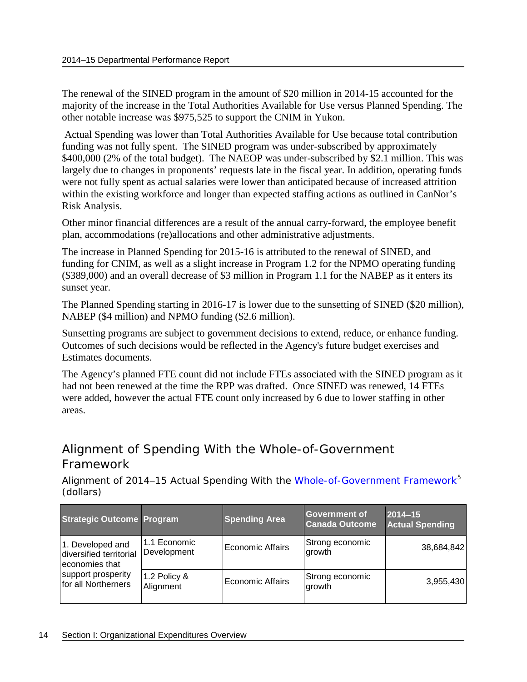The renewal of the SINED program in the amount of \$20 million in 2014-15 accounted for the majority of the increase in the Total Authorities Available for Use versus Planned Spending. The other notable increase was \$975,525 to support the CNIM in Yukon.

Actual Spending was lower than Total Authorities Available for Use because total contribution funding was not fully spent. The SINED program was under-subscribed by approximately \$400,000 (2% of the total budget). The NAEOP was under-subscribed by \$2.1 million. This was largely due to changes in proponents' requests late in the fiscal year. In addition, operating funds were not fully spent as actual salaries were lower than anticipated because of increased attrition within the existing workforce and longer than expected staffing actions as outlined in CanNor's Risk Analysis.

Other minor financial differences are a result of the annual carry-forward, the employee benefit plan, accommodations (re)allocations and other administrative adjustments.

The increase in Planned Spending for 2015-16 is attributed to the renewal of SINED, and funding for CNIM, as well as a slight increase in Program 1.2 for the NPMO operating funding (\$389,000) and an overall decrease of \$3 million in Program 1.1 for the NABEP as it enters its sunset year.

The Planned Spending starting in 2016-17 is lower due to the sunsetting of SINED (\$20 million), NABEP (\$4 million) and NPMO funding (\$2.6 million).

Sunsetting programs are subject to government decisions to extend, reduce, or enhance funding. Outcomes of such decisions would be reflected in the Agency's future budget exercises and Estimates documents.

The Agency's planned FTE count did not include FTEs associated with the SINED program as it had not been renewed at the time the RPP was drafted. Once SINED was renewed, 14 FTEs were added, however the actual FTE count only increased by 6 due to lower staffing in other areas.

## <span id="page-17-0"></span>Alignment of Spending With the Whole-of-Government Framework

Alignment of 2014–15 Actual Spending With the [Whole-of-Government](http://www.tbs-sct.gc.ca/ppg-cpr/frame-cadre-eng.aspx) Framework<sup>[5](#page-43-1)</sup> (dollars)

| <b>Strategic Outcome Program</b>                              |                             | <b>Spending Area</b> | Government of<br><b>Canada Outcome</b> | 2014-15<br><b>Actual Spending</b> |
|---------------------------------------------------------------|-----------------------------|----------------------|----------------------------------------|-----------------------------------|
| 1. Developed and<br>diversified territorial<br>economies that | 1.1 Economic<br>Development | Economic Affairs     | Strong economic<br>growth              | 38,684,842                        |
| support prosperity<br>for all Northerners                     | 1.2 Policy &<br>Alignment   | Economic Affairs     | Strong economic<br>growth              | 3,955,430                         |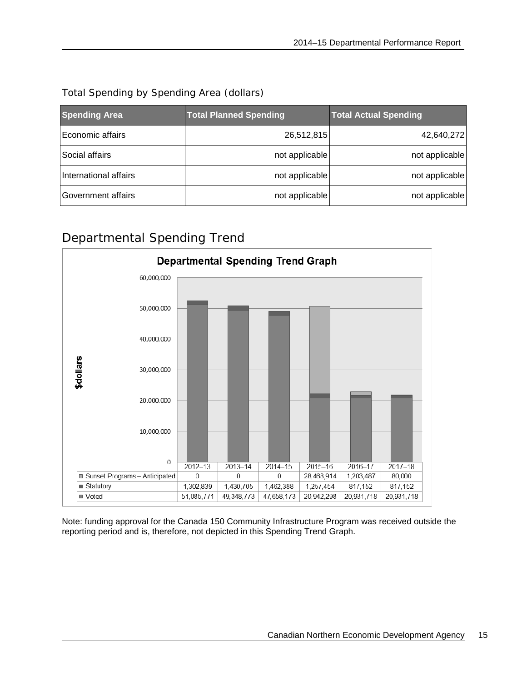| Total Spending by Spending Area (dollars) |  |
|-------------------------------------------|--|
|-------------------------------------------|--|

| <b>Spending Area</b>  | <b>Total Planned Spending</b> | <b>Total Actual Spending</b> |
|-----------------------|-------------------------------|------------------------------|
| Economic affairs      | 26,512,815                    | 42,640,272                   |
| Social affairs        | not applicable                | not applicable               |
| International affairs | not applicable                | not applicable               |
| Government affairs    | not applicable                | not applicable               |

## <span id="page-18-0"></span>Departmental Spending Trend



Note: funding approval for the Canada 150 Community Infrastructure Program was received outside the reporting period and is, therefore, not depicted in this Spending Trend Graph.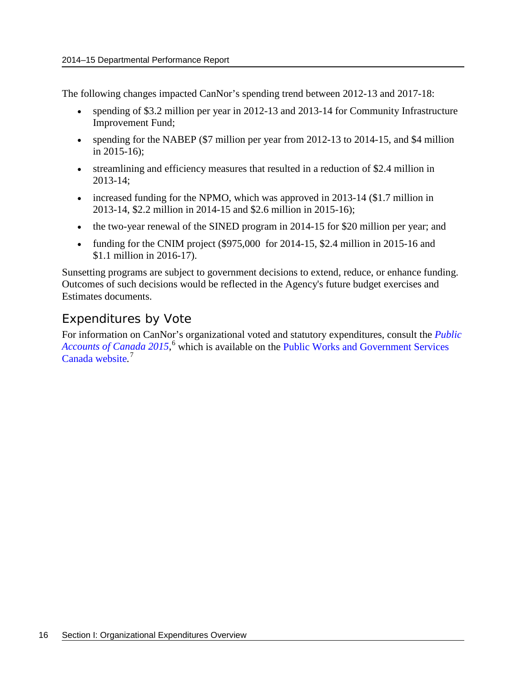The following changes impacted CanNor's spending trend between 2012-13 and 2017-18:

- spending of \$3.2 million per year in 2012-13 and 2013-14 for Community Infrastructure Improvement Fund;
- spending for the NABEP (\$7 million per year from 2012-13 to 2014-15, and \$4 million in 2015-16);
- streamlining and efficiency measures that resulted in a reduction of \$2.4 million in 2013-14;
- increased funding for the NPMO, which was approved in 2013-14 (\$1.7 million in 2013-14, \$2.2 million in 2014-15 and \$2.6 million in 2015-16);
- the two-year renewal of the SINED program in 2014-15 for \$20 million per year; and
- funding for the CNIM project (\$975,000 for 2014-15, \$2.4 million in 2015-16 and \$1.1 million in 2016-17).

Sunsetting programs are subject to government decisions to extend, reduce, or enhance funding. Outcomes of such decisions would be reflected in the Agency's future budget exercises and Estimates documents.

## <span id="page-19-0"></span>Expenditures by Vote

For information on CanNor's organizational voted and statutory expenditures, consult the *[Public](http://www.tpsgc-pwgsc.gc.ca/recgen/cpc-pac/index-eng.html)*  [Accounts of Canada 2015](http://www.tpsgc-pwgsc.gc.ca/recgen/cpc-pac/index-eng.html),<sup>[6](#page-43-2)</sup> which is available on the Public Works and Government Services [Canada website](http://www.tpsgc-pwgsc.gc.ca/recgen/cpc-pac/index-eng.html)*.* [7](#page-43-3)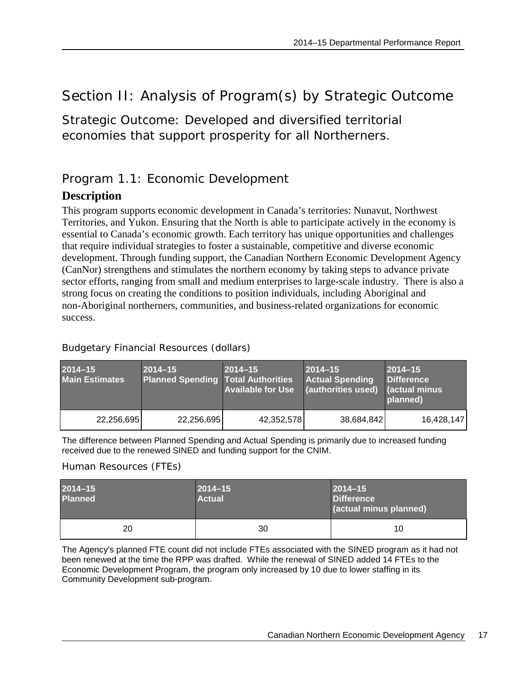## <span id="page-20-0"></span>Section II: Analysis of Program(s) by Strategic Outcome

<span id="page-20-1"></span>Strategic Outcome: Developed and diversified territorial economies that support prosperity for all Northerners.

## <span id="page-20-2"></span>Program 1.1: Economic Development

## **Description**

This program supports economic development in Canada's territories: Nunavut, Northwest Territories, and Yukon. Ensuring that the North is able to participate actively in the economy is essential to Canada's economic growth. Each territory has unique opportunities and challenges that require individual strategies to foster a sustainable, competitive and diverse economic development. Through funding support, the Canadian Northern Economic Development Agency (CanNor) strengthens and stimulates the northern economy by taking steps to advance private sector efforts, ranging from small and medium enterprises to large-scale industry. There is also a strong focus on creating the conditions to position individuals, including Aboriginal and non-Aboriginal northerners, communities, and business-related organizations for economic success.

### Budgetary Financial Resources (dollars)

| $2014 - 15$<br><b>Main Estimates</b> | $2014 - 15$<br><b>Planned Spending Total Authorities</b> | $2014 - 15$<br><b>Available for Use</b> | $2014 - 15$<br><b>Actual Spending</b><br>(authorities used) | $2014 - 15$<br><b>Difference</b><br><b>actual minus</b><br>planned) |
|--------------------------------------|----------------------------------------------------------|-----------------------------------------|-------------------------------------------------------------|---------------------------------------------------------------------|
| 22,256,695                           | 22,256,695                                               | 42,352,578                              | 38,684,842                                                  | 16,428,147                                                          |

The difference between Planned Spending and Actual Spending is primarily due to increased funding received due to the renewed SINED and funding support for the CNIM.

### Human Resources (FTEs)

| $2014 - 15$<br><b>Planned</b> | $ 2014 - 15 $<br><b>Actual</b> | $2014 - 15$<br><b>Difference</b><br>(actual minus planned) |
|-------------------------------|--------------------------------|------------------------------------------------------------|
| 20                            | 30                             | 10                                                         |

The Agency's planned FTE count did not include FTEs associated with the SINED program as it had not been renewed at the time the RPP was drafted. While the renewal of SINED added 14 FTEs to the Economic Development Program, the program only increased by 10 due to lower staffing in its Community Development sub-program.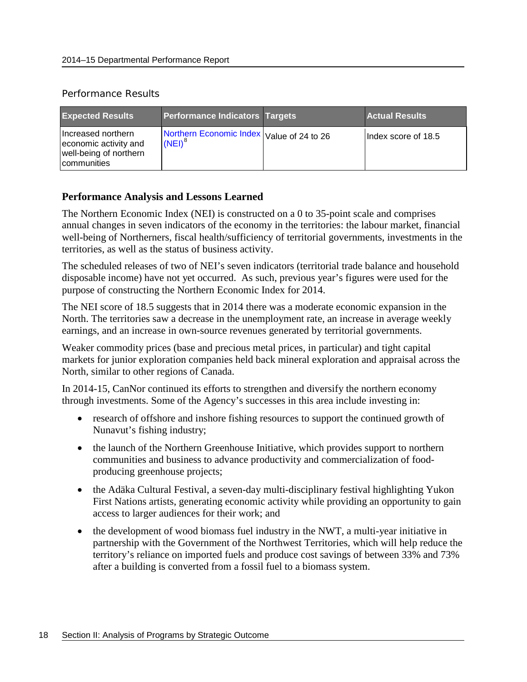#### Performance Results

| <b>Expected Results</b>                                                              | <b>Performance Indicators Targets</b>                  | <b>Actual Results</b> |
|--------------------------------------------------------------------------------------|--------------------------------------------------------|-----------------------|
| Increased northern<br>economic activity and<br>well-being of northern<br>communities | Northern Economic Index Value of 24 to 26<br>$(NEI)^8$ | Index score of 18.5   |

### **Performance Analysis and Lessons Learned**

The Northern Economic Index (NEI) is constructed on a 0 to 35-point scale and comprises annual changes in seven indicators of the economy in the territories: the labour market, financial well-being of Northerners, fiscal health/sufficiency of territorial governments, investments in the territories, as well as the status of business activity.

The scheduled releases of two of NEI's seven indicators (territorial trade balance and household disposable income) have not yet occurred. As such, previous year's figures were used for the purpose of constructing the Northern Economic Index for 2014.

The NEI score of 18.5 suggests that in 2014 there was a moderate economic expansion in the North. The territories saw a decrease in the unemployment rate, an increase in average weekly earnings, and an increase in own-source revenues generated by territorial governments.

Weaker commodity prices (base and precious metal prices, in particular) and tight capital markets for junior exploration companies held back mineral exploration and appraisal across the North, similar to other regions of Canada.

In 2014-15, CanNor continued its efforts to strengthen and diversify the northern economy through investments. Some of the Agency's successes in this area include investing in:

- research of offshore and inshore fishing resources to support the continued growth of Nunavut's fishing industry;
- the launch of the Northern Greenhouse Initiative, which provides support to northern communities and business to advance productivity and commercialization of foodproducing greenhouse projects;
- the Adäka Cultural Festival, a seven-day multi-disciplinary festival highlighting Yukon First Nations artists, generating economic activity while providing an opportunity to gain access to larger audiences for their work; and
- the development of wood biomass fuel industry in the NWT, a multi-year initiative in partnership with the Government of the Northwest Territories, which will help reduce the territory's reliance on imported fuels and produce cost savings of between 33% and 73% after a building is converted from a fossil fuel to a biomass system.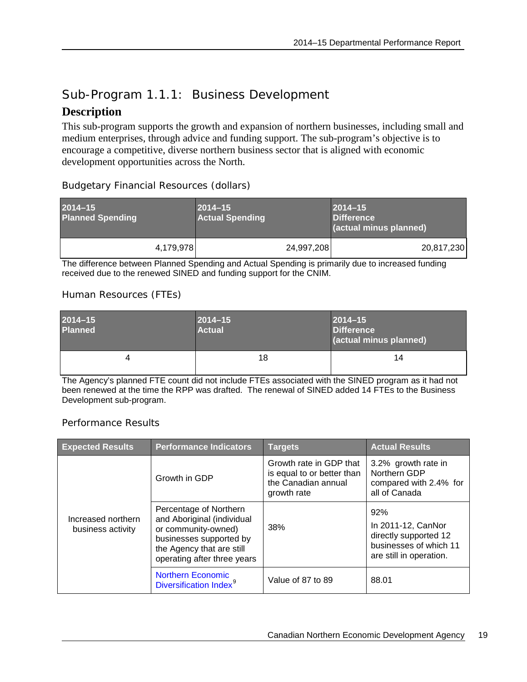## <span id="page-22-0"></span>Sub-Program 1.1.1: Business Development

## **Description**

This sub-program supports the growth and expansion of northern businesses, including small and medium enterprises, through advice and funding support. The sub-program's objective is to encourage a competitive, diverse northern business sector that is aligned with economic development opportunities across the North.

|  | <b>Budgetary Financial Resources (dollars)</b> |  |
|--|------------------------------------------------|--|
|  |                                                |  |

| $2014 - 15$<br><b>Planned Spending</b> |           | $2014 - 15$<br><b>Actual Spending</b> |            | $2014 - 15$<br><b>Difference</b><br>(actual minus planned) |
|----------------------------------------|-----------|---------------------------------------|------------|------------------------------------------------------------|
|                                        | 4,179,978 |                                       | 24,997,208 | 20,817,230                                                 |

The difference between Planned Spending and Actual Spending is primarily due to increased funding received due to the renewed SINED and funding support for the CNIM.

### Human Resources (FTEs)

| $2014 - 15$<br><b>Planned</b> | $2014 - 15$<br><b>Actual</b> | $2014 - 15$<br><b>Difference</b><br>(actual minus planned) |
|-------------------------------|------------------------------|------------------------------------------------------------|
| 4                             | 18                           | 14                                                         |

The Agency's planned FTE count did not include FTEs associated with the SINED program as it had not been renewed at the time the RPP was drafted. The renewal of SINED added 14 FTEs to the Business Development sub-program.

### Performance Results

| <b>Expected Results</b>                 | <b>Performance Indicators</b>                                                                                                                                      | <b>Targets</b>                                                                              | <b>Actual Results</b>                                                                                   |
|-----------------------------------------|--------------------------------------------------------------------------------------------------------------------------------------------------------------------|---------------------------------------------------------------------------------------------|---------------------------------------------------------------------------------------------------------|
|                                         | Growth in GDP                                                                                                                                                      | Growth rate in GDP that<br>is equal to or better than<br>the Canadian annual<br>growth rate | 3.2% growth rate in<br>Northern GDP<br>compared with 2.4% for<br>all of Canada                          |
| Increased northern<br>business activity | Percentage of Northern<br>and Aboriginal (individual<br>or community-owned)<br>businesses supported by<br>the Agency that are still<br>operating after three years | 38%                                                                                         | 92%<br>In 2011-12, CanNor<br>directly supported 12<br>businesses of which 11<br>are still in operation. |
|                                         | <b>Northern Economic</b><br>Diversification Index <sup>9</sup>                                                                                                     | Value of 87 to 89                                                                           | 88.01                                                                                                   |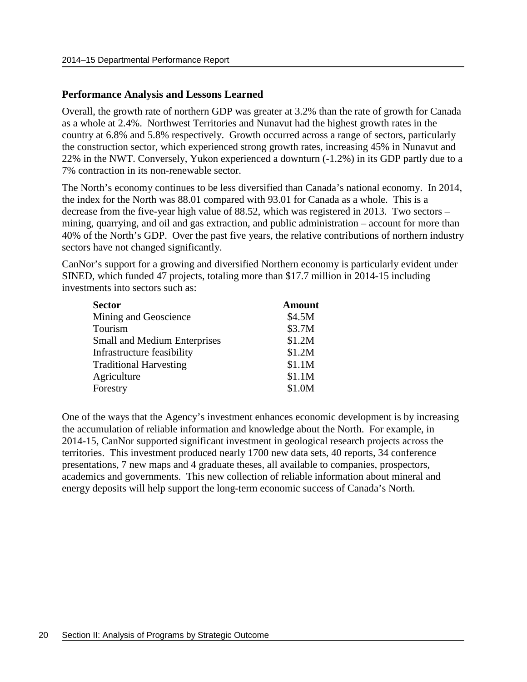#### **Performance Analysis and Lessons Learned**

Overall, the growth rate of northern GDP was greater at 3.2% than the rate of growth for Canada as a whole at 2.4%. Northwest Territories and Nunavut had the highest growth rates in the country at 6.8% and 5.8% respectively. Growth occurred across a range of sectors, particularly the construction sector, which experienced strong growth rates, increasing 45% in Nunavut and 22% in the NWT. Conversely, Yukon experienced a downturn (-1.2%) in its GDP partly due to a 7% contraction in its non-renewable sector.

The North's economy continues to be less diversified than Canada's national economy. In 2014, the index for the North was 88.01 compared with 93.01 for Canada as a whole. This is a decrease from the five-year high value of 88.52, which was registered in 2013. Two sectors – mining, quarrying, and oil and gas extraction, and public administration – account for more than 40% of the North's GDP. Over the past five years, the relative contributions of northern industry sectors have not changed significantly.

CanNor's support for a growing and diversified Northern economy is particularly evident under SINED, which funded 47 projects, totaling more than \$17.7 million in 2014-15 including investments into sectors such as:

| <b>Sector</b>                 | <b>Amount</b> |
|-------------------------------|---------------|
| Mining and Geoscience         | \$4.5M        |
| Tourism                       | \$3.7M        |
| Small and Medium Enterprises  | \$1.2M        |
| Infrastructure feasibility    | \$1.2M        |
| <b>Traditional Harvesting</b> | \$1.1M        |
| Agriculture                   | \$1.1M        |
| Forestry                      | \$1.0M        |

One of the ways that the Agency's investment enhances economic development is by increasing the accumulation of reliable information and knowledge about the North. For example, in 2014-15, CanNor supported significant investment in geological research projects across the territories. This investment produced nearly 1700 new data sets, 40 reports, 34 conference presentations, 7 new maps and 4 graduate theses, all available to companies, prospectors, academics and governments. This new collection of reliable information about mineral and energy deposits will help support the long-term economic success of Canada's North.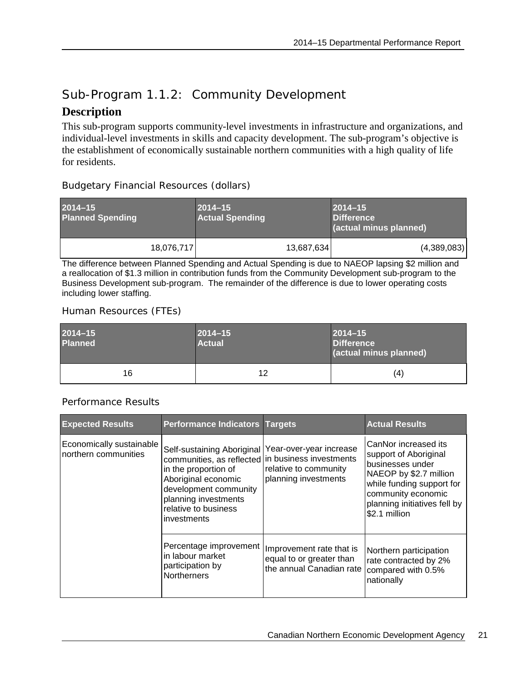## <span id="page-24-0"></span>Sub-Program 1.1.2: Community Development

## **Description**

This sub-program supports community-level investments in infrastructure and organizations, and individual-level investments in skills and capacity development. The sub-program's objective is the establishment of economically sustainable northern communities with a high quality of life for residents.

### Budgetary Financial Resources (dollars)

| $2014 - 15$<br><b>Planned Spending</b> |            | $2014 - 15$<br><b>Actual Spending</b> | $2014 - 15$<br><b>Difference</b><br>(actual minus planned) |
|----------------------------------------|------------|---------------------------------------|------------------------------------------------------------|
|                                        | 18,076,717 | 13,687,634                            | (4,389,083)                                                |

The difference between Planned Spending and Actual Spending is due to NAEOP lapsing \$2 million and a reallocation of \$1.3 million in contribution funds from the Community Development sub-program to the Business Development sub-program. The remainder of the difference is due to lower operating costs including lower staffing.

### Human Resources (FTEs)

| $2014 - 15$<br><b>Planned</b> | $2014 - 15$<br><b>Actual</b> | $2014 - 15$<br><b>Difference</b><br>(actual minus planned) |
|-------------------------------|------------------------------|------------------------------------------------------------|
| 16                            | 12                           | (4)                                                        |

### Performance Results

| <b>Expected Results</b>                          | <b>Performance Indicators Targets</b>                                                                                                                                                                                                            |                                                                                  | <b>Actual Results</b>                                                                                                                                                                           |
|--------------------------------------------------|--------------------------------------------------------------------------------------------------------------------------------------------------------------------------------------------------------------------------------------------------|----------------------------------------------------------------------------------|-------------------------------------------------------------------------------------------------------------------------------------------------------------------------------------------------|
| Economically sustainable<br>northern communities | Self-sustaining Aboriginal   Year-over-year increase<br>communities, as reflected in business investments<br>in the proportion of<br>Aboriginal economic<br>development community<br>planning investments<br>relative to business<br>investments | relative to community<br>planning investments                                    | CanNor increased its<br>support of Aboriginal<br>businesses under<br>NAEOP by \$2.7 million<br>while funding support for<br>community economic<br>planning initiatives fell by<br>\$2.1 million |
|                                                  | Percentage improvement<br>in labour market<br>participation by<br><b>Northerners</b>                                                                                                                                                             | Improvement rate that is<br>equal to or greater than<br>the annual Canadian rate | Northern participation<br>rate contracted by 2%<br>compared with 0.5%<br>nationally                                                                                                             |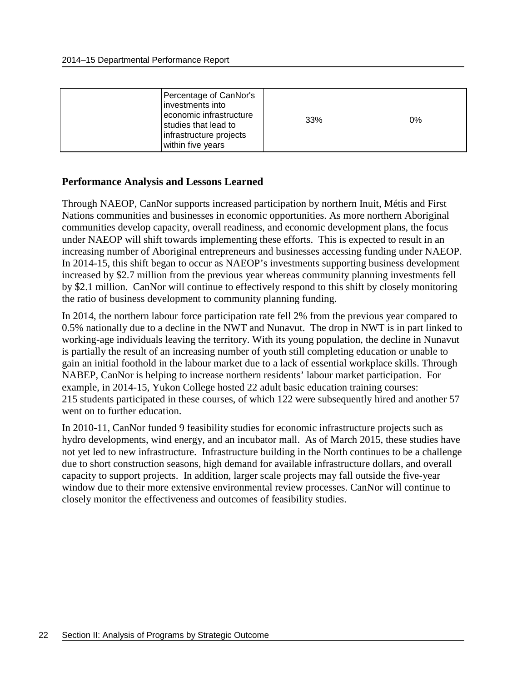| Percentage of CanNor's<br>investments into<br>economic infrastructure<br>studies that lead to<br>infrastructure projects<br>within five years | 33% | $0\%$ |
|-----------------------------------------------------------------------------------------------------------------------------------------------|-----|-------|
|-----------------------------------------------------------------------------------------------------------------------------------------------|-----|-------|

### **Performance Analysis and Lessons Learned**

Through NAEOP, CanNor supports increased participation by northern Inuit, Métis and First Nations communities and businesses in economic opportunities. As more northern Aboriginal communities develop capacity, overall readiness, and economic development plans, the focus under NAEOP will shift towards implementing these efforts. This is expected to result in an increasing number of Aboriginal entrepreneurs and businesses accessing funding under NAEOP. In 2014-15, this shift began to occur as NAEOP's investments supporting business development increased by \$2.7 million from the previous year whereas community planning investments fell by \$2.1 million. CanNor will continue to effectively respond to this shift by closely monitoring the ratio of business development to community planning funding.

In 2014, the northern labour force participation rate fell 2% from the previous year compared to 0.5% nationally due to a decline in the NWT and Nunavut. The drop in NWT is in part linked to working-age individuals leaving the territory. With its young population, the decline in Nunavut is partially the result of an increasing number of youth still completing education or unable to gain an initial foothold in the labour market due to a lack of essential workplace skills. Through NABEP, CanNor is helping to increase northern residents' labour market participation. For example, in 2014-15, Yukon College hosted 22 adult basic education training courses: 215 students participated in these courses, of which 122 were subsequently hired and another 57 went on to further education.

In 2010-11, CanNor funded 9 feasibility studies for economic infrastructure projects such as hydro developments, wind energy, and an incubator mall. As of March 2015, these studies have not yet led to new infrastructure. Infrastructure building in the North continues to be a challenge due to short construction seasons, high demand for available infrastructure dollars, and overall capacity to support projects. In addition, larger scale projects may fall outside the five-year window due to their more extensive environmental review processes. CanNor will continue to closely monitor the effectiveness and outcomes of feasibility studies.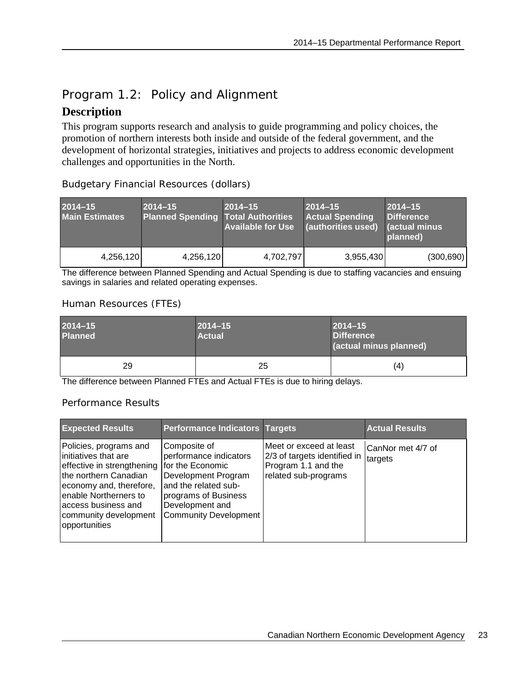## <span id="page-26-0"></span>Program 1.2: Policy and Alignment

## **Description**

This program supports research and analysis to guide programming and policy choices, the promotion of northern interests both inside and outside of the federal government, and the development of horizontal strategies, initiatives and projects to address economic development challenges and opportunities in the North.

| $2014 - 15$<br><b>Main Estimates</b> | $2014 - 15$<br><b>Planned Spending Total Authorities</b> | $2014 - 15$<br><b>Available for Use</b> | $2014 - 15$<br><b>Actual Spending</b><br>(authorities used) | $2014 - 15$<br>Difference<br>Cactual minus<br>planned) |
|--------------------------------------|----------------------------------------------------------|-----------------------------------------|-------------------------------------------------------------|--------------------------------------------------------|
| 4,256,120                            | 4,256,120                                                | 4,702,797                               | 3,955,430                                                   | (300, 690)                                             |

Budgetary Financial Resources (dollars)

The difference between Planned Spending and Actual Spending is due to staffing vacancies and ensuing savings in salaries and related operating expenses.

### Human Resources (FTEs)

| $2014 - 15$<br><b>Planned</b> | $2014 - 15$<br><b>Actual</b> | $2014 - 15$<br><b>Difference</b><br>(actual minus planned) |
|-------------------------------|------------------------------|------------------------------------------------------------|
| 29                            | 25                           | (4)                                                        |

The difference between Planned FTEs and Actual FTEs is due to hiring delays.

### Performance Results

| <b>Expected Results</b>                                                                                                                                                                                                     | <b>Performance Indicators Targets</b>                                                                                                                                                |                                                                                                        | <b>Actual Results</b>        |
|-----------------------------------------------------------------------------------------------------------------------------------------------------------------------------------------------------------------------------|--------------------------------------------------------------------------------------------------------------------------------------------------------------------------------------|--------------------------------------------------------------------------------------------------------|------------------------------|
| Policies, programs and<br>initiatives that are<br>effective in strengthening<br>the northern Canadian<br>economy and, therefore,<br>enable Northerners to<br>laccess business and<br>community development<br>opportunities | Composite of<br>performance indicators<br>for the Economic<br>Development Program<br>and the related sub-<br>programs of Business<br>Development and<br><b>Community Development</b> | Meet or exceed at least<br>2/3 of targets identified in<br>Program 1.1 and the<br>related sub-programs | CanNor met 4/7 of<br>targets |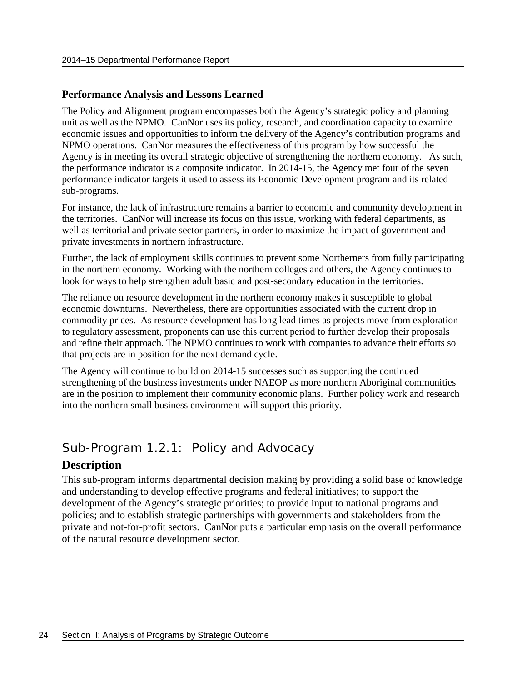#### **Performance Analysis and Lessons Learned**

The Policy and Alignment program encompasses both the Agency's strategic policy and planning unit as well as the NPMO. CanNor uses its policy, research, and coordination capacity to examine economic issues and opportunities to inform the delivery of the Agency's contribution programs and NPMO operations. CanNor measures the effectiveness of this program by how successful the Agency is in meeting its overall strategic objective of strengthening the northern economy. As such, the performance indicator is a composite indicator. In 2014-15, the Agency met four of the seven performance indicator targets it used to assess its Economic Development program and its related sub-programs.

For instance, the lack of infrastructure remains a barrier to economic and community development in the territories. CanNor will increase its focus on this issue, working with federal departments, as well as territorial and private sector partners, in order to maximize the impact of government and private investments in northern infrastructure.

Further, the lack of employment skills continues to prevent some Northerners from fully participating in the northern economy. Working with the northern colleges and others, the Agency continues to look for ways to help strengthen adult basic and post-secondary education in the territories.

The reliance on resource development in the northern economy makes it susceptible to global economic downturns. Nevertheless, there are opportunities associated with the current drop in commodity prices. As resource development has long lead times as projects move from exploration to regulatory assessment, proponents can use this current period to further develop their proposals and refine their approach. The NPMO continues to work with companies to advance their efforts so that projects are in position for the next demand cycle.

The Agency will continue to build on 2014-15 successes such as supporting the continued strengthening of the business investments under NAEOP as more northern Aboriginal communities are in the position to implement their community economic plans. Further policy work and research into the northern small business environment will support this priority.

## <span id="page-27-0"></span>Sub-Program 1.2.1: Policy and Advocacy

### **Description**

This sub-program informs departmental decision making by providing a solid base of knowledge and understanding to develop effective programs and federal initiatives; to support the development of the Agency's strategic priorities; to provide input to national programs and policies; and to establish strategic partnerships with governments and stakeholders from the private and not-for-profit sectors. CanNor puts a particular emphasis on the overall performance of the natural resource development sector.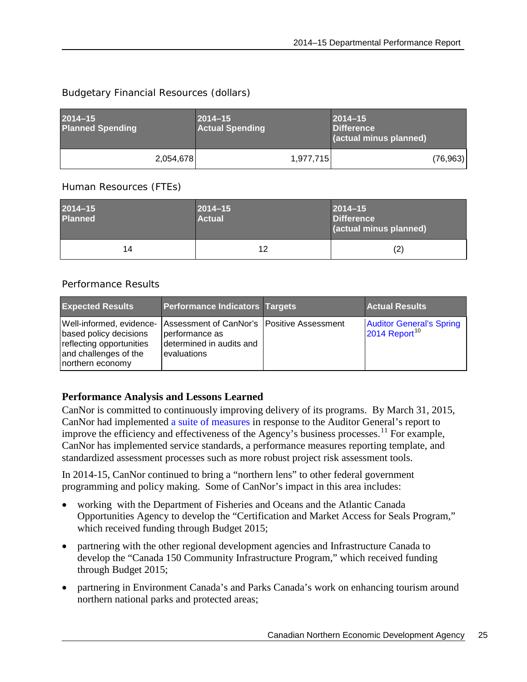### Budgetary Financial Resources (dollars)

| $2014 - 15$<br><b>Planned Spending</b> |           | $2014 - 15$<br><b>Actual Spending</b> |           | $2014 - 15$<br><b>Difference</b><br>(actual minus planned) |           |
|----------------------------------------|-----------|---------------------------------------|-----------|------------------------------------------------------------|-----------|
|                                        | 2,054,678 |                                       | 1,977,715 |                                                            | (76, 963) |

### Human Resources (FTEs)

| $2014 - 15$<br><b>Planned</b> | $2014 - 15$<br><b>Actual</b> | $ 2014 - 15 $<br><b>Difference</b><br>(actual minus planned) |
|-------------------------------|------------------------------|--------------------------------------------------------------|
| 14                            | 12                           | (2)                                                          |

### Performance Results

| <b>Expected Results</b>                                                                                                                                                  | <b>Performance Indicators Targets</b>                     | <b>Actual Results</b>                                        |
|--------------------------------------------------------------------------------------------------------------------------------------------------------------------------|-----------------------------------------------------------|--------------------------------------------------------------|
| Well-informed, evidence- Assessment of CanNor's   Positive Assessment<br>based policy decisions<br>reflecting opportunities<br>and challenges of the<br>northern economy | performance as<br>determined in audits and<br>evaluations | <b>Auditor General's Spring</b><br>2014 Report <sup>10</sup> |

### **Performance Analysis and Lessons Learned**

CanNor is committed to continuously improving delivery of its programs. By March 31, 2015, CanNor had implemented a suite [of measures](http://www.cannor.gc.ca/eng/1433177108189/1433181118135) in response to the Auditor General's report to improve the efficiency and effectiveness of the Agency's business processes.<sup>[11](#page-43-7)</sup> For example, CanNor has implemented service standards, a performance measures reporting template, and standardized assessment processes such as more robust project risk assessment tools.

In 2014-15, CanNor continued to bring a "northern lens" to other federal government programming and policy making. Some of CanNor's impact in this area includes:

- working with the Department of Fisheries and Oceans and the Atlantic Canada Opportunities Agency to develop the "Certification and Market Access for Seals Program," which received funding through Budget 2015;
- partnering with the other regional development agencies and Infrastructure Canada to develop the "Canada 150 Community Infrastructure Program," which received funding through Budget 2015;
- partnering in Environment Canada's and Parks Canada's work on enhancing tourism around northern national parks and protected areas;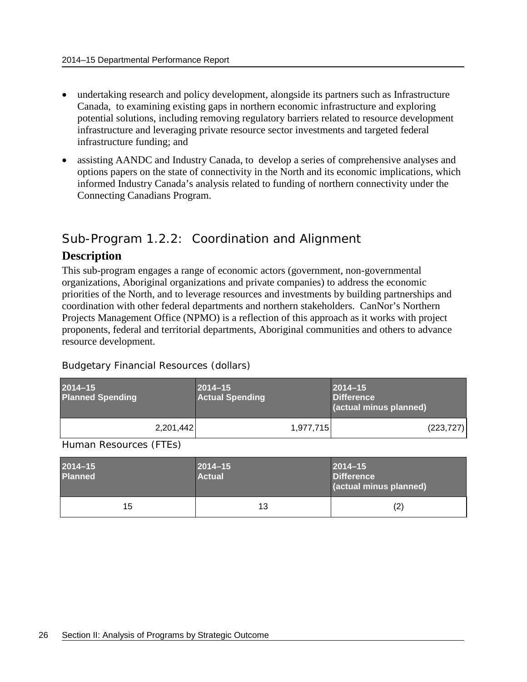- undertaking research and policy development, alongside its partners such as Infrastructure Canada, to examining existing gaps in northern economic infrastructure and exploring potential solutions, including removing regulatory barriers related to resource development infrastructure and leveraging private resource sector investments and targeted federal infrastructure funding; and
- assisting AANDC and Industry Canada, to develop a series of comprehensive analyses and options papers on the state of connectivity in the North and its economic implications, which informed Industry Canada's analysis related to funding of northern connectivity under the Connecting Canadians Program.

## <span id="page-29-0"></span>Sub-Program 1.2.2: Coordination and Alignment

## **Description**

This sub-program engages a range of economic actors (government, non-governmental organizations, Aboriginal organizations and private companies) to address the economic priorities of the North, and to leverage resources and investments by building partnerships and coordination with other federal departments and northern stakeholders. CanNor's Northern Projects Management Office (NPMO) is a reflection of this approach as it works with project proponents, federal and territorial departments, Aboriginal communities and others to advance resource development.

| $2014 - 15$<br><b>Planned Spending</b> |           | $2014 - 15$<br><b>Actual Spending</b> | $2014 - 15$<br><b>Difference</b><br>(actual minus planned) |
|----------------------------------------|-----------|---------------------------------------|------------------------------------------------------------|
|                                        | 2,201,442 | 1.977.715                             | (223, 727)                                                 |

Budgetary Financial Resources (dollars)

Human Resources (FTEs)

| $2014 - 15$<br><b>Planned</b> | $ 2014 - 15$<br>Actual | $ 2014 - 15 $<br><b>Difference</b><br>(actual minus planned) |
|-------------------------------|------------------------|--------------------------------------------------------------|
| 15                            | 13                     | (2)                                                          |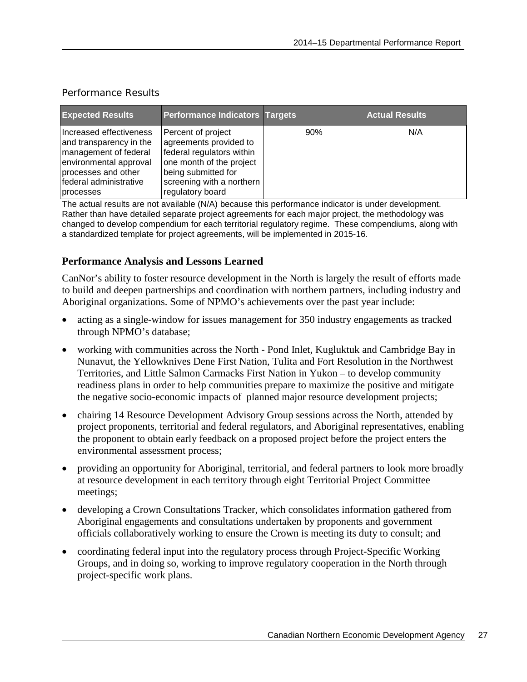| <b>Expected Results</b>                                                                                                                                             | <b>Performance Indicators Targets</b>                                                                                                                                         |     | <b>Actual Results</b> |
|---------------------------------------------------------------------------------------------------------------------------------------------------------------------|-------------------------------------------------------------------------------------------------------------------------------------------------------------------------------|-----|-----------------------|
| Increased effectiveness<br>and transparency in the<br>management of federal<br>environmental approval<br>processes and other<br>federal administrative<br>processes | Percent of project<br>agreements provided to<br>federal regulators within<br>one month of the project<br>being submitted for<br>screening with a northern<br>regulatory board | 90% | N/A                   |

### Performance Results

The actual results are not available (N/A) because this performance indicator is under development. Rather than have detailed separate project agreements for each major project, the methodology was changed to develop compendium for each territorial regulatory regime. These compendiums, along with a standardized template for project agreements, will be implemented in 2015-16.

### **Performance Analysis and Lessons Learned**

CanNor's ability to foster resource development in the North is largely the result of efforts made to build and deepen partnerships and coordination with northern partners, including industry and Aboriginal organizations. Some of NPMO's achievements over the past year include:

- acting as a single-window for issues management for 350 industry engagements as tracked through NPMO's database;
- working with communities across the North Pond Inlet, Kugluktuk and Cambridge Bay in Nunavut, the Yellowknives Dene First Nation, Tulita and Fort Resolution in the Northwest Territories, and Little Salmon Carmacks First Nation in Yukon – to develop community readiness plans in order to help communities prepare to maximize the positive and mitigate the negative socio-economic impacts of planned major resource development projects;
- chairing 14 Resource Development Advisory Group sessions across the North, attended by project proponents, territorial and federal regulators, and Aboriginal representatives, enabling the proponent to obtain early feedback on a proposed project before the project enters the environmental assessment process;
- providing an opportunity for Aboriginal, territorial, and federal partners to look more broadly at resource development in each territory through eight Territorial Project Committee meetings;
- developing a Crown Consultations Tracker, which consolidates information gathered from Aboriginal engagements and consultations undertaken by proponents and government officials collaboratively working to ensure the Crown is meeting its duty to consult; and
- coordinating federal input into the regulatory process through Project-Specific Working Groups, and in doing so, working to improve regulatory cooperation in the North through project-specific work plans.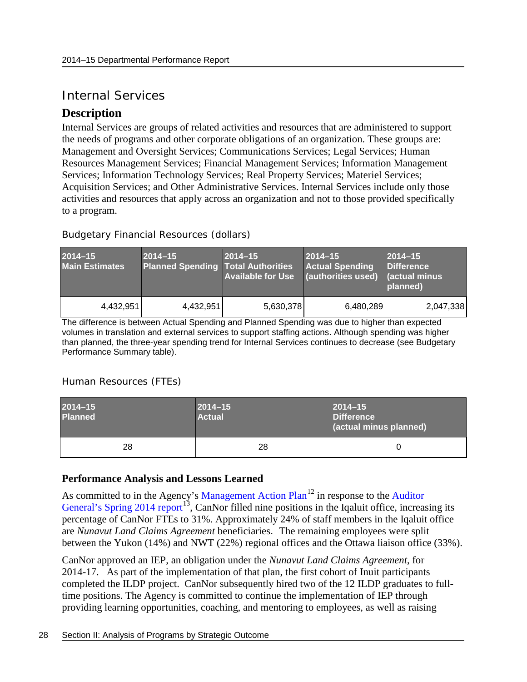## <span id="page-31-0"></span>Internal Services

## **Description**

Internal Services are groups of related activities and resources that are administered to support the needs of programs and other corporate obligations of an organization. These groups are: Management and Oversight Services; Communications Services; Legal Services; Human Resources Management Services; Financial Management Services; Information Management Services; Information Technology Services; Real Property Services; Materiel Services; Acquisition Services; and Other Administrative Services. Internal Services include only those activities and resources that apply across an organization and not to those provided specifically to a program.

### Budgetary Financial Resources (dollars)

| $2014 - 15$<br><b>Main Estimates</b> | $2014 - 15$<br><b>Planned Spending Total Authorities</b> | $2014 - 15$<br><b>Available for Use</b> | $2014 - 15$<br><b>Actual Spending</b><br>(authorities used) (actual minus | $2014 - 15$<br><b>Difference</b><br>planned) |
|--------------------------------------|----------------------------------------------------------|-----------------------------------------|---------------------------------------------------------------------------|----------------------------------------------|
| 4,432,951                            | 4,432,951                                                | 5,630,378                               | 6,480,289                                                                 | 2,047,338                                    |

The difference is between Actual Spending and Planned Spending was due to higher than expected volumes in translation and external services to support staffing actions. Although spending was higher than planned, the three-year spending trend for Internal Services continues to decrease (see Budgetary Performance Summary table).

### Human Resources (FTEs)

| $2014 - 15$<br><b>Planned</b> | $2014 - 15$<br><b>Actual</b> | $2014 - 15$<br><b>Difference</b><br>(actual minus planned) |
|-------------------------------|------------------------------|------------------------------------------------------------|
| 28                            | 28                           |                                                            |

### **Performance Analysis and Lessons Learned**

As committed to in the Agency's [Management Action Plan](http://www.cannor.gc.ca/eng/1433177108189/1433181118135)<sup>[12](#page-43-8)</sup> in response to the Auditor [General's Spring 2014 report](http://www.oag-bvg.gc.ca/internet/English/parl_oag_201405_06_e_39337.html)<sup>13</sup>, CanNor filled nine positions in the Iqaluit office, increasing its percentage of CanNor FTEs to 31%. Approximately 24% of staff members in the Iqaluit office are *Nunavut Land Claims Agreement* beneficiaries. The remaining employees were split between the Yukon (14%) and NWT (22%) regional offices and the Ottawa liaison office (33%).

CanNor approved an IEP, an obligation under the *Nunavut Land Claims Agreement*, for 2014-17. As part of the implementation of that plan, the first cohort of Inuit participants completed the ILDP project. CanNor subsequently hired two of the 12 ILDP graduates to fulltime positions. The Agency is committed to continue the implementation of IEP through providing learning opportunities, coaching, and mentoring to employees, as well as raising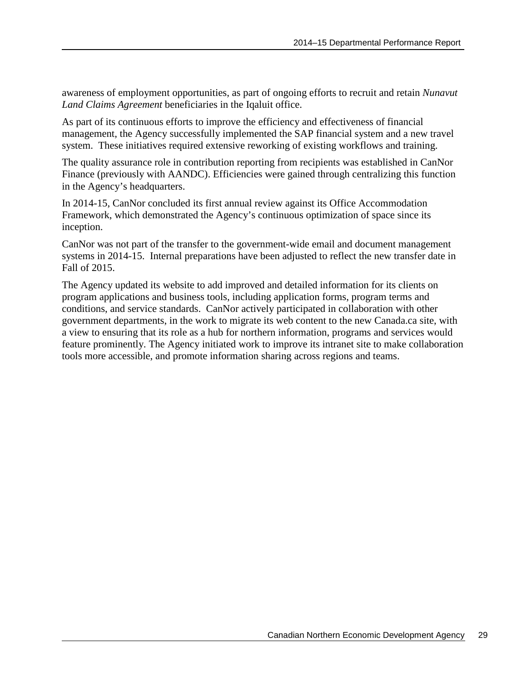awareness of employment opportunities, as part of ongoing efforts to recruit and retain *Nunavut Land Claims Agreement* beneficiaries in the Iqaluit office.

As part of its continuous efforts to improve the efficiency and effectiveness of financial management, the Agency successfully implemented the SAP financial system and a new travel system. These initiatives required extensive reworking of existing workflows and training.

The quality assurance role in contribution reporting from recipients was established in CanNor Finance (previously with AANDC). Efficiencies were gained through centralizing this function in the Agency's headquarters.

In 2014-15, CanNor concluded its first annual review against its Office Accommodation Framework, which demonstrated the Agency's continuous optimization of space since its inception.

CanNor was not part of the transfer to the government-wide email and document management systems in 2014-15. Internal preparations have been adjusted to reflect the new transfer date in Fall of 2015.

The Agency updated its website to add improved and detailed information for its clients on program applications and business tools, including application forms, program terms and conditions, and service standards. CanNor actively participated in collaboration with other government departments, in the work to migrate its web content to the new Canada.ca site, with a view to ensuring that its role as a hub for northern information, programs and services would feature prominently. The Agency initiated work to improve its intranet site to make collaboration tools more accessible, and promote information sharing across regions and teams.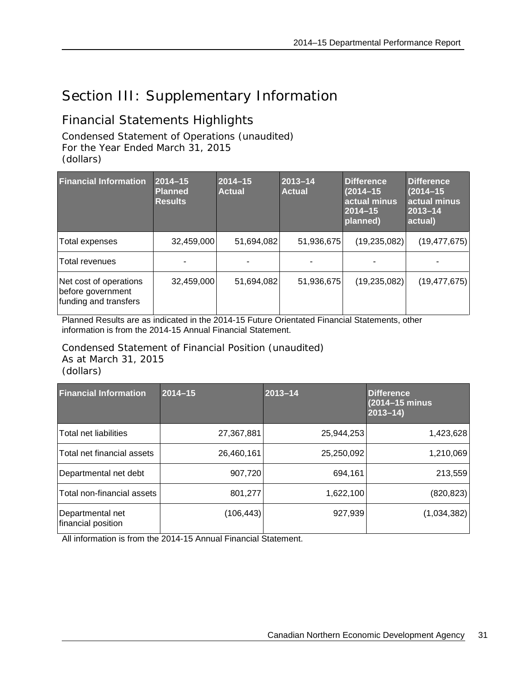## <span id="page-34-0"></span>Section III: Supplementary Information

## <span id="page-34-1"></span>Financial Statements Highlights

Condensed Statement of Operations (unaudited) For the Year Ended March 31, 2015 (dollars)

| <b>Financial Information</b>                                         | $2014 - 15$<br><b>Planned</b><br><b>Results</b> | $2014 - 15$<br><b>Actual</b> | 2013-14<br><b>Actual</b> | <b>Difference</b><br>$(2014 - 15)$<br>actual minus<br>$2014 - 15$<br>planned) | Difference<br>$(2014 - 15)$<br>actual minus<br>$2013 - 14$<br>actual) |
|----------------------------------------------------------------------|-------------------------------------------------|------------------------------|--------------------------|-------------------------------------------------------------------------------|-----------------------------------------------------------------------|
| Total expenses                                                       | 32,459,000                                      | 51,694,082                   | 51,936,675               | (19, 235, 082)                                                                | (19, 477, 675)                                                        |
| Total revenues                                                       |                                                 |                              |                          |                                                                               |                                                                       |
| Net cost of operations<br>before government<br>funding and transfers | 32,459,000                                      | 51,694,082                   | 51,936,675               | (19, 235, 082)                                                                | (19, 477, 675)                                                        |

Planned Results are as indicated in the 2014-15 Future Orientated Financial Statements, other information is from the 2014-15 Annual Financial Statement.

Condensed Statement of Financial Position (unaudited) As at March 31, 2015 (dollars)

| <b>Financial Information</b>           | $2014 - 15$ | $2013 - 14$ | <b>Difference</b><br>(2014-15 minus<br>$2013 - 14$ |
|----------------------------------------|-------------|-------------|----------------------------------------------------|
| Total net liabilities                  | 27,367,881  | 25,944,253  | 1,423,628                                          |
| Total net financial assets             | 26,460,161  | 25,250,092  | 1,210,069                                          |
| Departmental net debt                  | 907,720     | 694,161     | 213,559                                            |
| Total non-financial assets             | 801,277     | 1,622,100   | (820, 823)                                         |
| Departmental net<br>financial position | (106, 443)  | 927,939     | (1,034,382)                                        |

All information is from the 2014-15 Annual Financial Statement.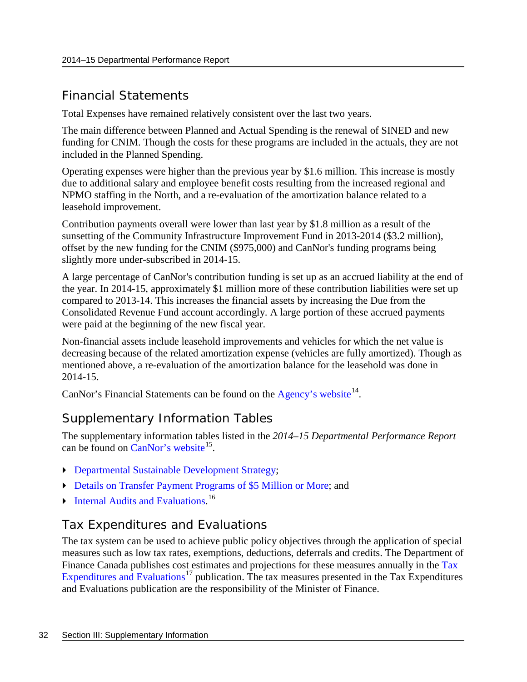## <span id="page-35-0"></span>Financial Statements

Total Expenses have remained relatively consistent over the last two years.

The main difference between Planned and Actual Spending is the renewal of SINED and new funding for CNIM. Though the costs for these programs are included in the actuals, they are not included in the Planned Spending.

Operating expenses were higher than the previous year by \$1.6 million. This increase is mostly due to additional salary and employee benefit costs resulting from the increased regional and NPMO staffing in the North, and a re-evaluation of the amortization balance related to a leasehold improvement.

Contribution payments overall were lower than last year by \$1.8 million as a result of the sunsetting of the Community Infrastructure Improvement Fund in 2013-2014 (\$3.2 million), offset by the new funding for the CNIM (\$975,000) and CanNor's funding programs being slightly more under-subscribed in 2014-15.

A large percentage of CanNor's contribution funding is set up as an accrued liability at the end of the year. In 2014-15, approximately \$1 million more of these contribution liabilities were set up compared to 2013-14. This increases the financial assets by increasing the Due from the Consolidated Revenue Fund account accordingly. A large portion of these accrued payments were paid at the beginning of the new fiscal year.

Non-financial assets include leasehold improvements and vehicles for which the net value is decreasing because of the related amortization expense (vehicles are fully amortized). Though as mentioned above, a re-evaluation of the amortization balance for the leasehold was done in 2014-15.

CanNor's Financial Statements can be found on the [Agency's website](http://www.cannor.gc.ca/eng/1370435709347/1370436040329)<sup>14</sup>.

## <span id="page-35-1"></span>Supplementary Information Tables

The supplementary information tables listed in the *2014–15 Departmental Performance Report* can be found on  $CanNor's website<sup>15</sup>$  $CanNor's website<sup>15</sup>$ .

- [Departmental Sustainable Development Strategy;](http://www.cannor.gc.ca/eng/1445623281761/1445623311697)
- [Details on Transfer Payment Programs](http://www.cannor.gc.ca/eng/1445623549381/1445623580760) of \$5 Million or More; and
- [Internal Audits and Evaluations.](http://www.cannor.gc.ca/eng/1445623931585/1445623954834)<sup>[16](#page-43-12)</sup>

## <span id="page-35-2"></span>Tax Expenditures and Evaluations

The tax system can be used to achieve public policy objectives through the application of special measures such as low tax rates, exemptions, deductions, deferrals and credits. The Department of Finance Canada publishes cost estimates and projections for these measures annually in the Tax [Expenditures and Evaluations](http://www.fin.gc.ca/purl/taxexp-eng.asp)<sup>[17](#page-43-13)</sup> publication. The tax measures presented in the Tax Expenditures and Evaluations publication are the responsibility of the Minister of Finance.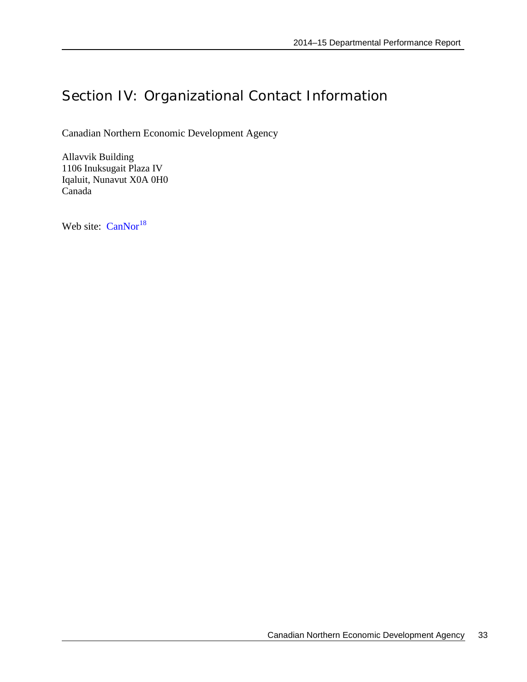## <span id="page-36-0"></span>Section IV: Organizational Contact Information

Canadian Northern Economic Development Agency

Allavvik Building 1106 Inuksugait Plaza IV Iqaluit, Nunavut X0A 0H0 Canada

Web site: [CanNor](http://www.cannor.gc.ca/)<sup>[18](#page-43-14)</sup>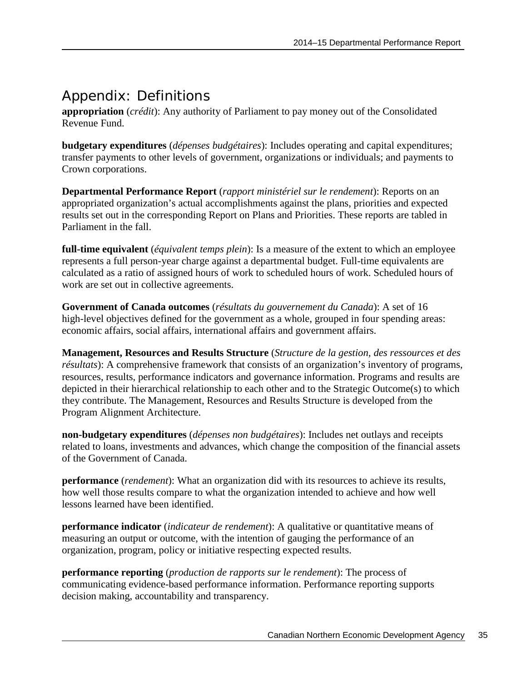## <span id="page-38-0"></span>Appendix: Definitions

**appropriation** (*crédit*): Any authority of Parliament to pay money out of the Consolidated Revenue Fund.

**budgetary expenditures** (*dépenses budgétaires*): Includes operating and capital expenditures; transfer payments to other levels of government, organizations or individuals; and payments to Crown corporations.

**Departmental Performance Report** (*rapport ministériel sur le rendement*): Reports on an appropriated organization's actual accomplishments against the plans, priorities and expected results set out in the corresponding Report on Plans and Priorities. These reports are tabled in Parliament in the fall.

**full-time equivalent** (*équivalent temps plein*): Is a measure of the extent to which an employee represents a full person-year charge against a departmental budget. Full-time equivalents are calculated as a ratio of assigned hours of work to scheduled hours of work. Scheduled hours of work are set out in collective agreements.

**Government of Canada outcomes** (*résultats du gouvernement du Canada*): A set of 16 high-level objectives defined for the government as a whole, grouped in [four spending areas:](http://www.tbs-sct.gc.ca/ppg-cpr/frame-cadre-eng.aspx) economic affairs, social affairs, international affairs and government affairs.

**Management, Resources and Results Structure** (*Structure de la gestion, des ressources et des résultats*): A comprehensive framework that consists of an organization's inventory of programs, resources, results, performance indicators and governance information. Programs and results are depicted in their hierarchical relationship to each other and to the Strategic Outcome(s) to which they contribute. The Management, Resources and Results Structure is developed from the Program Alignment Architecture.

**non-budgetary expenditures** (*dépenses non budgétaires*): Includes net outlays and receipts related to loans, investments and advances, which change the composition of the financial assets of the Government of Canada.

**performance** (*rendement*): What an organization did with its resources to achieve its results, how well those results compare to what the organization intended to achieve and how well lessons learned have been identified.

**performance indicator** (*indicateur de rendement*): A qualitative or quantitative means of measuring an output or outcome, with the intention of gauging the performance of an organization, program, policy or initiative respecting expected results.

**performance reporting** (*production de rapports sur le rendement*): The process of communicating evidence-based performance information. Performance reporting supports decision making, accountability and transparency.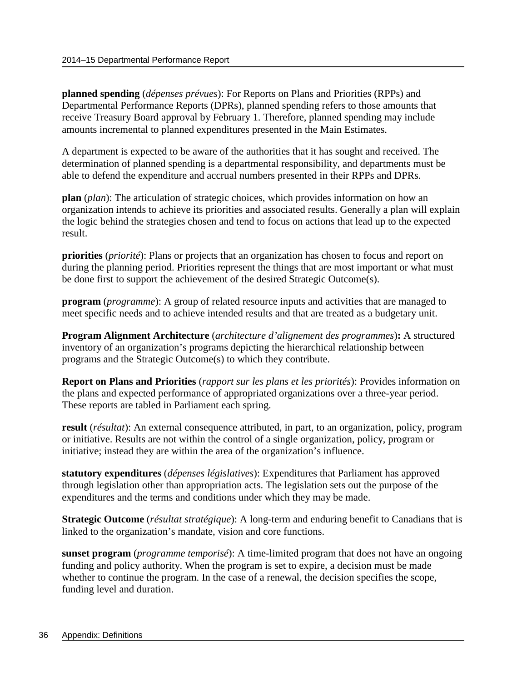**planned spending** (*dépenses prévues*): For Reports on Plans and Priorities (RPPs) and Departmental Performance Reports (DPRs), planned spending refers to those amounts that receive Treasury Board approval by February 1. Therefore, planned spending may include amounts incremental to planned expenditures presented in the Main Estimates.

A department is expected to be aware of the authorities that it has sought and received. The determination of planned spending is a departmental responsibility, and departments must be able to defend the expenditure and accrual numbers presented in their RPPs and DPRs.

**plan** (*plan*): The articulation of strategic choices, which provides information on how an organization intends to achieve its priorities and associated results. Generally a plan will explain the logic behind the strategies chosen and tend to focus on actions that lead up to the expected result.

**priorities** (*priorité*): Plans or projects that an organization has chosen to focus and report on during the planning period. Priorities represent the things that are most important or what must be done first to support the achievement of the desired Strategic Outcome(s).

**program** (*programme*): A group of related resource inputs and activities that are managed to meet specific needs and to achieve intended results and that are treated as a budgetary unit.

**Program Alignment Architecture** (*architecture d'alignement des programmes*)**:** A structured inventory of an organization's programs depicting the hierarchical relationship between programs and the Strategic Outcome(s) to which they contribute.

**Report on Plans and Priorities** (*rapport sur les plans et les priorités*): Provides information on the plans and expected performance of appropriated organizations over a three-year period. These reports are tabled in Parliament each spring.

**result** (*résultat*): An external consequence attributed, in part, to an organization, policy, program or initiative. Results are not within the control of a single organization, policy, program or initiative; instead they are within the area of the organization's influence.

**statutory expenditures** (*dépenses législatives*): Expenditures that Parliament has approved through legislation other than appropriation acts. The legislation sets out the purpose of the expenditures and the terms and conditions under which they may be made.

**Strategic Outcome** (*résultat stratégique*): A long-term and enduring benefit to Canadians that is linked to the organization's mandate, vision and core functions.

**sunset program** (*programme temporisé*): A time-limited program that does not have an ongoing funding and policy authority. When the program is set to expire, a decision must be made whether to continue the program. In the case of a renewal, the decision specifies the scope, funding level and duration.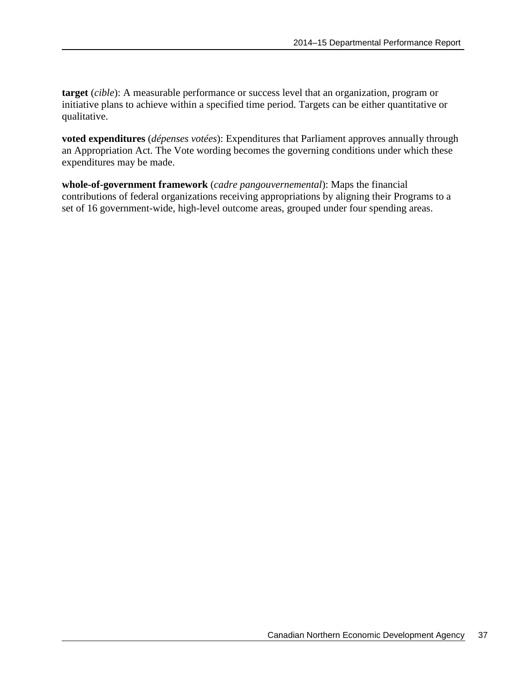**target** (*cible*): A measurable performance or success level that an organization, program or initiative plans to achieve within a specified time period. Targets can be either quantitative or qualitative.

**voted expenditures** (*dépenses votées*): Expenditures that Parliament approves annually through an Appropriation Act. The Vote wording becomes the governing conditions under which these expenditures may be made.

**whole-of-government framework** (*cadre pangouvernemental*): Maps the financial contributions of federal organizations receiving appropriations by aligning their Programs to a set of 16 government-wide, high-level outcome areas, grouped under four spending areas.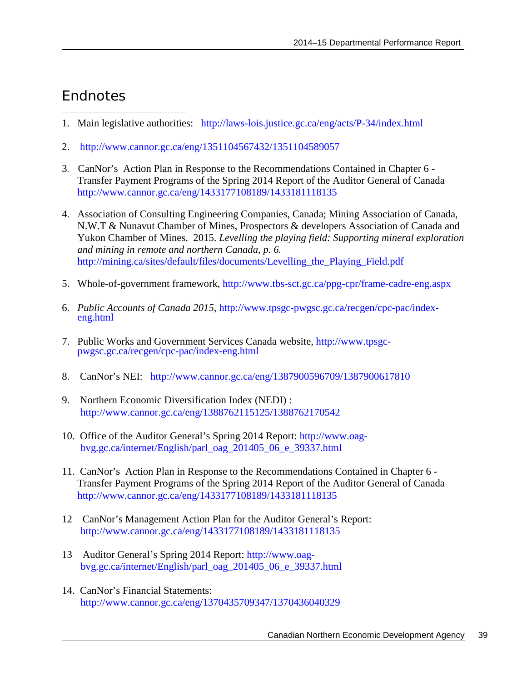## <span id="page-42-0"></span>**Endnotes**

- <span id="page-42-1"></span> $\overline{a}$ 1. Main legislative authorities: <http://laws-lois.justice.gc.ca/eng/acts/P-34/index.html>
- <span id="page-42-2"></span>2. <http://www.cannor.gc.ca/eng/1351104567432/1351104589057>
- <span id="page-42-3"></span>3. CanNor's Action Plan in Response to the Recommendations Contained in Chapter 6 - Transfer Payment Programs of the Spring 2014 Report of the Auditor General of Canada <http://www.cannor.gc.ca/eng/1433177108189/1433181118135>
- 4. Association of Consulting Engineering Companies, Canada; Mining Association of Canada, N.W.T & Nunavut Chamber of Mines, Prospectors & developers Association of Canada and Yukon Chamber of Mines. 2015. *Levelling the playing field: Supporting mineral exploration and mining in remote and northern Canada, p. 6.*  [http://mining.ca/sites/default/files/documents/Levelling\\_the\\_Playing\\_Field.pdf](http://mining.ca/sites/default/files/documents/Levelling_the_Playing_Field.pdf)
- 5. Whole-of-government framework,<http://www.tbs-sct.gc.ca/ppg-cpr/frame-cadre-eng.aspx>
- 6. *Public Accounts of Canada 2015*, [http://www.tpsgc-pwgsc.gc.ca/recgen/cpc-pac/index-](http://www.tpsgc-pwgsc.gc.ca/recgen/cpc-pac/index-eng.html) [eng.html](http://www.tpsgc-pwgsc.gc.ca/recgen/cpc-pac/index-eng.html)
- 7. Public Works and Government Services Canada website, [http://www.tpsgc-](http://www.tpsgc-pwgsc.gc.ca/recgen/cpc-pac/index-eng.html) [pwgsc.gc.ca/recgen/cpc-pac/index-eng.html](http://www.tpsgc-pwgsc.gc.ca/recgen/cpc-pac/index-eng.html)
- 8. CanNor's NEI: <http://www.cannor.gc.ca/eng/1387900596709/1387900617810>
- 9. Northern Economic Diversification Index (NEDI) : <http://www.cannor.gc.ca/eng/1388762115125/1388762170542>
- 10. Office of the Auditor General's Spring 2014 Report: [http://www.oag](http://www.oag-bvg.gc.ca/internet/English/parl_oag_201405_06_e_39337.html)[bvg.gc.ca/internet/English/parl\\_oag\\_201405\\_06\\_e\\_39337.html](http://www.oag-bvg.gc.ca/internet/English/parl_oag_201405_06_e_39337.html)
- 11. CanNor's Action Plan in Response to the Recommendations Contained in Chapter 6 Transfer Payment Programs of the Spring 2014 Report of the Auditor General of Canada <http://www.cannor.gc.ca/eng/1433177108189/1433181118135>
- 12 CanNor's Management Action Plan for the Auditor General's Report: <http://www.cannor.gc.ca/eng/1433177108189/1433181118135>
- 13 Auditor General's Spring 2014 Report: [http://www.oag](http://www.oag-bvg.gc.ca/internet/English/parl_oag_201405_06_e_39337.html)[bvg.gc.ca/internet/English/parl\\_oag\\_201405\\_06\\_e\\_39337.html](http://www.oag-bvg.gc.ca/internet/English/parl_oag_201405_06_e_39337.html)
- 14. CanNor's Financial Statements: <http://www.cannor.gc.ca/eng/1370435709347/1370436040329>